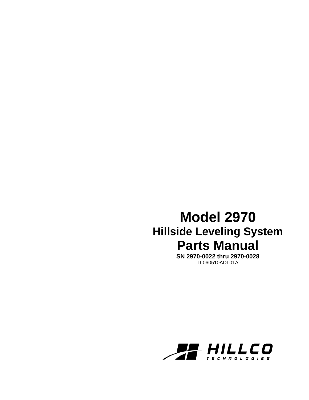# **Model 2970 Hillside Leveling System Parts Manual**

**SN 2970-0022 thru 2970-0028**  D-060510ADL01A

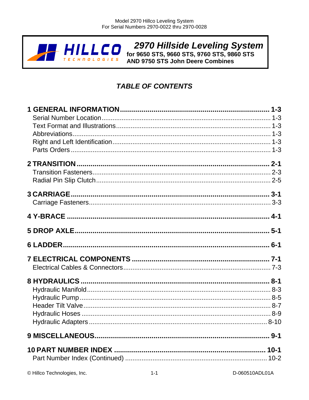

**2970 Hillside Leveling System**<br>for 9650 STS, 9660 STS, 9760 STS, 9860 STS<br>AND 9750 STS John Deere Combines

# **TABLE OF CONTENTS**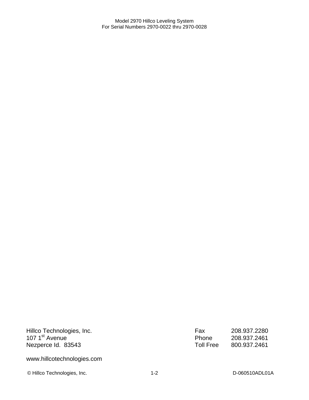Hillco Technologies, Inc. 107 1<sup>st</sup> Avenue Nezperce Id. 83543

Fax 208.937.2280 Phone 208.937.2461 Toll Free 800.937.2461

www.hillcotechnologies.com

© Hillco Technologies, Inc. 1-2 1-2 D-060510ADL01A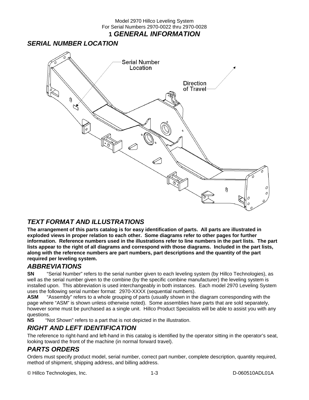### **1** *GENERAL INFORMATION*

### *SERIAL NUMBER LOCATION*



### *TEXT FORMAT AND ILLUSTRATIONS*

**The arrangement of this parts catalog is for easy identification of parts. All parts are illustrated in exploded views in proper relation to each other. Some diagrams refer to other pages for further information. Reference numbers used in the illustrations refer to line numbers in the part lists. The part lists appear to the right of all diagrams and correspond with those diagrams. Included in the part lists, along with the reference numbers are part numbers, part descriptions and the quantity of the part required per leveling system.** 

### *ABBREVIATIONS*

**SN** "Serial Number" refers to the serial number given to each leveling system (by Hillco Technologies), as well as the serial number given to the combine (by the specific combine manufacturer) the leveling system is installed upon. This abbreviation is used interchangeably in both instances. Each model 2970 Leveling System uses the following serial number format: 2970-XXXX (sequential numbers).

**ASM** "Assembly" refers to a whole grouping of parts (usually shown in the diagram corresponding with the page where "ASM" is shown unless otherwise noted). Some assemblies have parts that are sold separately, however some must be purchased as a single unit. Hillco Product Specialists will be able to assist you with any questions.

**NS** "Not Shown" refers to a part that is not depicted in the illustration.

### *RIGHT AND LEFT IDENTIFICATION*

The reference to right-hand and left-hand in this catalog is identified by the operator sitting in the operator's seat, looking toward the front of the machine (in normal forward travel).

### *PARTS ORDERS*

Orders must specify product model, serial number, correct part number, complete description, quantity required, method of shipment, shipping address, and billing address.

© Hillco Technologies, Inc. 1-3 D-060510ADL01A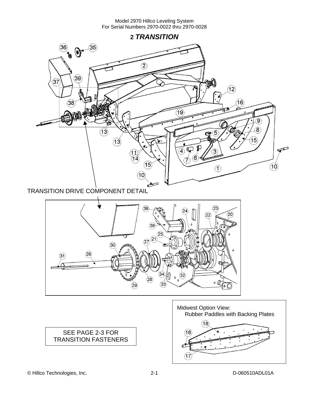**2** *TRANSITION*   $\left(36\right)$ 35  $\mathbf{e} \in \mathbb{R}^{d}$  $(2)$  $\circled{39}$ 37 ШI.  $(12)$  $\widehat{38}$  $(16)$ 19 9,  $\bf (\overline{8})$  $(13)$ 3  $\overrightarrow{5}$  $(13)$  $\varphi$ ₫  $\boldsymbol{A}$ 3  $\overbrace{14}$ ้ค  $\widehat{\mathcal{A}}$ 5  $(10)$  $\mathcal{F}$  $(10)$ TRANSITION DRIVE COMPONENT DETAIL $\circledS$  $(23)$  $\mathbf{24}$  $\widehat{\mathbf{20}}$  $(22)$ 





© Hillco Technologies, Inc. 2-1 D-060510ADL01A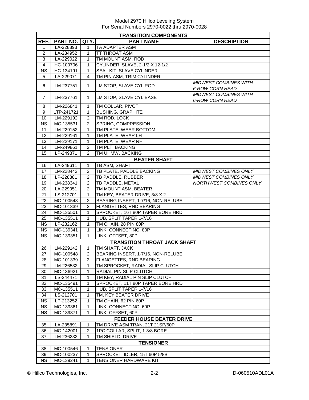|                                  | <b>TRANSITION COMPONENTS</b> |                         |                                     |                                                        |  |  |  |
|----------------------------------|------------------------------|-------------------------|-------------------------------------|--------------------------------------------------------|--|--|--|
| REF.                             | PART NO.                     | QTY.                    | <b>PART NAME</b>                    | <b>DESCRIPTION</b>                                     |  |  |  |
| 1                                | LA-228893                    | 1                       | <b>TA ADAPTER ASM</b>               |                                                        |  |  |  |
| $\boldsymbol{2}$                 | LA-234952                    | 1                       | <b>TT THROAT ASM</b>                |                                                        |  |  |  |
| 3                                | LA-229022                    | 1                       | TM MOUNT ASM, ROD                   |                                                        |  |  |  |
| $\overline{4}$                   | HC-100706                    | 1                       | CYLINDER, SLAVE, 2-1/2 X 12-1/2     |                                                        |  |  |  |
| <b>NS</b>                        | HC-134191                    | $\mathbf{1}$            | <b>SEAL KIT, SLAVE CYLINDER</b>     |                                                        |  |  |  |
| 5                                | LA-229071                    | 4                       | TM PIN ASM, TRIM CYLINDER           |                                                        |  |  |  |
| 6                                | LM-237751                    | $\mathbf{1}$            | LM STOP, SLAVE CYL ROD              | <b>MIDWEST COMBINES WITH</b><br><b>6-ROW CORN HEAD</b> |  |  |  |
| $\overline{7}$                   | LM-237761                    | 1                       | LM STOP, SLAVE CYL BASE             | <b>MIDWEST COMBINES WITH</b><br><b>6-ROW CORN HEAD</b> |  |  |  |
| 8                                | LM-226841                    | $\mathbf{1}$            | TM COLLAR, PIVOT                    |                                                        |  |  |  |
| 9                                | LTP-241721                   | $\mathbf{1}$            | <b>BUSHING, GRAPHITE</b>            |                                                        |  |  |  |
| 10                               | LM-229192                    | $\overline{c}$          | TM ROD, LOCK                        |                                                        |  |  |  |
| <b>NS</b>                        | MC-135531                    | $\overline{c}$          | SPRING, COMPRESSION                 |                                                        |  |  |  |
| 11                               | LM-229152                    | 1                       | TM PLATE, WEAR BOTTOM               |                                                        |  |  |  |
| 12                               | LM-229161                    | $\mathbf{1}$            | TM PLATE, WEAR LH                   |                                                        |  |  |  |
| 13                               | LM-229171                    | $\mathbf{1}$            | TM PLATE, WEAR RH                   |                                                        |  |  |  |
| 14                               | LM-249861                    | $\overline{c}$          | TM PLT, BACKING                     |                                                        |  |  |  |
| 15                               | LP-249871                    | $\overline{c}$          | TM UHMW, BACKING                    |                                                        |  |  |  |
|                                  |                              |                         | <b>BEATER SHAFT</b>                 |                                                        |  |  |  |
| 16                               | LA-249611                    | 1                       | TB ASM, SHAFT                       |                                                        |  |  |  |
| 17                               | LM-228442                    | $\overline{c}$          | TB PLATE, PADDLE BACKING            | MIDWEST COMBINES ONLY                                  |  |  |  |
| 18                               | LP-228881                    | $\overline{\mathbf{c}}$ | TB PADDLE, RUBBER                   | MIDWEST COMBINES ONLY                                  |  |  |  |
| 19                               | LM-238341                    | $\overline{c}$          | TB PADDLE, METAL                    | NORTHWEST COMBINES ONLY                                |  |  |  |
| 20                               | LA-229051                    | $\overline{c}$          | TM MOUNT ASM, BEATER                |                                                        |  |  |  |
| 21                               | LS-212701                    | 1                       | TM KEY, BEATER DRIVE, 3/8 X 2       |                                                        |  |  |  |
| 22                               | MC-100548                    | 2                       | BEARING INSERT, 1-7/16, NON-RELUBE  |                                                        |  |  |  |
| 23                               | MC-101339                    | $\overline{2}$          | FLANGETTES, RND BEARING             |                                                        |  |  |  |
| 24                               | MC-135501                    | $\mathbf{1}$            | SPROCKET, 16T 80P TAPER BORE HRD    |                                                        |  |  |  |
| 25                               | MC-135511                    | $\mathbf{1}$            | HUB, SPLIT TAPER 1-7/16             |                                                        |  |  |  |
| <b>NS</b>                        | LP-232162                    | 1                       | TM CHAIN, 28 PIN 80P                |                                                        |  |  |  |
| <b>NS</b>                        | MC-139341                    | $\mathbf{1}$            | LINK, CONNECTING, 80P               |                                                        |  |  |  |
| <b>NS</b>                        | MC-139351                    | 1                       | LINK, OFFSET, 80P                   |                                                        |  |  |  |
|                                  |                              |                         | <b>TRANSITION THROAT JACK SHAFT</b> |                                                        |  |  |  |
| 26                               | LM-229142                    | $\mathbf{1}$            | TM SHAFT, JACK                      |                                                        |  |  |  |
| 27                               | MC-100548                    | $\overline{2}$          | BEARING INSERT, 1-7/16, NON-RELUBE  |                                                        |  |  |  |
| 28                               | MC-101339                    | 2                       | <b>FLANGETTES, RND BEARING</b>      |                                                        |  |  |  |
| 29                               | LM-226532                    | 1                       | TM SPROCKET, RADIAL SLIP CLUTCH     |                                                        |  |  |  |
| 30                               | MC-136921                    | 1                       | RADIAL PIN SLIP CLUTCH              |                                                        |  |  |  |
| 31                               | LS-244471                    | 1                       | TM KEY, RADIAL PIN SLIP CLUTCH      |                                                        |  |  |  |
| 32                               | MC-135491                    | 1                       | SPROCKET, 11T 80P TAPER BORE HRD    |                                                        |  |  |  |
| 33                               | MC-135511                    | 1                       | HUB, SPLIT TAPER 1-7/16             |                                                        |  |  |  |
| 34                               | LS-212701                    | 1                       | TM, KEY BEATER DRIVE                |                                                        |  |  |  |
| <b>NS</b>                        | LP-213252                    | 1                       | TM CHAIN, 62 PIN 60P                |                                                        |  |  |  |
| <b>NS</b>                        | MC-139361                    | 1                       | LINK, CONNECTING, 60P               |                                                        |  |  |  |
| <b>NS</b>                        | MC-139371                    | 1                       | LINK, OFFSET, 60P                   |                                                        |  |  |  |
| <b>FEEDER HOUSE BEATER DRIVE</b> |                              |                         |                                     |                                                        |  |  |  |
| 35                               | LA-235891                    | 1                       | TM DRIVE ASM TRAN, 21T 21SP/60P     |                                                        |  |  |  |
| 36                               | MC-142001                    | $\overline{c}$          | 1PC COLLAR, SPLIT, 1-3/8 BORE       |                                                        |  |  |  |
| 37                               | LM-236232                    | 1                       | TM SHIELD, DRIVE                    |                                                        |  |  |  |
|                                  |                              |                         | <b>TENSIONER</b>                    |                                                        |  |  |  |
| 38                               | MC-100546                    | 1                       | <b>TENSIONER</b>                    |                                                        |  |  |  |
| 39                               | MC-100237                    | 1                       | SPROCKET, IDLER, 15T 60P 5/8B       |                                                        |  |  |  |
| <b>NS</b>                        | MC-139241                    | 1                       | <b>TENSIONER HARDWARE KIT</b>       |                                                        |  |  |  |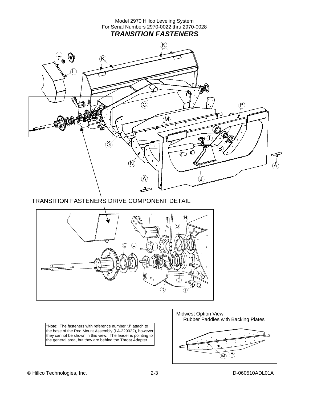

TRANSITION FASTENERS DRIVE COMPONENT DETAIL



\*Note: The fasteners with reference number "J" attach to the base of the Rod Mount Assembly (LA-229022), however they cannot be shown in this view. The leader is pointing to the general area, but they are behind the Throat Adapter.

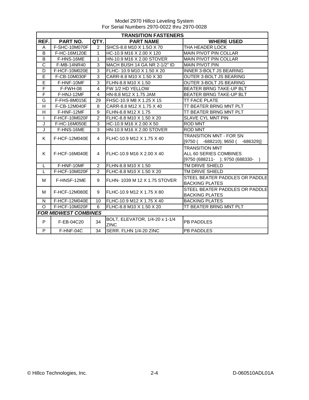|                         | <b>TRANSITION FASTENERS</b> |                |                                |                                    |  |  |  |
|-------------------------|-----------------------------|----------------|--------------------------------|------------------------------------|--|--|--|
| REF.                    | PART NO.                    | QTY.           | <b>PART NAME</b>               | <b>WHERE USED</b>                  |  |  |  |
| A                       | F-SHC-10M070F               | $\overline{2}$ | SHCS-8.8 M10 X 1.5O X 70       | THA HEADER LOCK                    |  |  |  |
| B                       | F-HC-16M120E                | 1              | HC-10.9 M16 X 2.00 X 120       | <b>MAIN PIVOT PIN COLLAR</b>       |  |  |  |
| B                       | F-HNS-16ME                  | 1              | HN-10.9 M16 X 2.00 STOVER      | <b>MAIN PIVOT PIN COLLAR</b>       |  |  |  |
| $\overline{C}$          | F-MB-14NR40                 | 3              | MACH BUSH 14 GA NR 2-1/2" ID   | <b>MAIN PIVOT PIN</b>              |  |  |  |
| D                       | F-HCF-10M020E               | 3              | IFLHC- 10.9 M10 X 1.50 X 20    | <b>INNER 3-BOLT JS BEARING</b>     |  |  |  |
| E                       | F-CB-10M030F                | 3              | CARR-8.8 M10 X 1.50 X 30       | OUTER 3-BOLT JS BEARING            |  |  |  |
| E                       | F-HNF-10MF                  | 3              | FLHN-8.8 M10 X 1.50            | OUTER 3-BOLT JS BEARING            |  |  |  |
| F                       | F-FWH-08                    | 4              | FW 1/2 HD YELLOW               | <b>BEATER BRNG TAKE-UP BLT</b>     |  |  |  |
| F                       | F-HNJ-12MF                  | 4              | HN-8.8 M12 X 1.75 JAM          | <b>BEATER BRNG TAKE-UP BLT</b>     |  |  |  |
| G                       | F-FHS-8M015E                | 29             | FHSC-10.9 M8 X 1.25 X 15       | <b>TT FACE PLATE</b>               |  |  |  |
| H                       | F-CB-12M040F                | 8              | CARR-8.8 M12 X 1.75 X 40       | TT BEATER BRNG MNT PLT             |  |  |  |
| $\overline{\mathsf{H}}$ | F-HNF-12MF                  | 9              | FLHN-8.8 M12 X 1.75            | TT BEATER BRNG MNT PLT             |  |  |  |
| L                       | F-HCF-10M020F               | $\overline{2}$ | FLHC-8.8 M10 X 1.50 X 20       | <b>SLAVE CYL MNT PIN</b>           |  |  |  |
| J                       | F-HC-16M050E                | 3              | HC-10.9 M16 X 2.00 X 50        | <b>ROD MNT</b>                     |  |  |  |
| J                       | F-HNS-16ME                  | 3              | HN-10.9 M16 X 2.00 STOVER      | <b>ROD MNT</b>                     |  |  |  |
| K                       | F-HCF-12M040E               | 4              | FLHC-10.9 M12 X 1.75 X 40      | <b>TRANSITION MNT - FOR SN</b>     |  |  |  |
|                         |                             |                |                                | $[9750 (-688210); 9650 (-686329)]$ |  |  |  |
|                         |                             |                |                                | <b>TRANSITION MNT</b>              |  |  |  |
| K                       | F-HCF-16M040E               | 4              | FLHC-10.9 M16 X 2.00 X 40      | ALL 60 SERIES COMBINES             |  |  |  |
|                         |                             |                |                                | [9750 (688211- ); 9750 (688330-    |  |  |  |
| L                       | F-HNF-10MF                  | $\overline{2}$ | FLHN-8.8 M10 X 1.50            | TM DRIVE SHIELD                    |  |  |  |
| L                       | F-HCF-10M020F               | $\overline{2}$ | FLHC-8.8 M10 X 1.50 X 20       | TM DRIVE SHIELD                    |  |  |  |
| м                       | F-HNSF-12ME                 | 9              | FLHN- 1039 M 12 X 1.75 STOVER  | STEEL BEATER PADDLES OR PADDLE     |  |  |  |
|                         |                             |                |                                | <b>BACKING PLATES</b>              |  |  |  |
| м                       | F-HCF-12M080E               | 9              | FLHC-10.9 M12 X 1.75 X 80      | STEEL BEATER PADDLES OR PADDLE     |  |  |  |
|                         |                             |                |                                | <b>BACKING PLATES</b>              |  |  |  |
| N                       | F-HCF-12M040E               | 10             | FLHC-10.9 M12 X 1.75 X 40      | <b>BACKING PLATES</b>              |  |  |  |
| $\Omega$                | F-HCF-10M020F               | 6              | FLHC-8.8 M10 X 1.50 X 20       | TT BEATER BRNG MNT PLT             |  |  |  |
|                         | <b>FOR MIDWEST COMBINES</b> |                |                                |                                    |  |  |  |
| P                       | F-EB-04C20                  | 34             | BOLT, ELEVATOR, 1/4-20 x 1-1/4 | <b>PB PADDLES</b>                  |  |  |  |
|                         |                             |                | <b>ZINC</b>                    |                                    |  |  |  |
| P                       | F-HNF-04C                   | 34             | SERR. FLHN 1/4-20 ZINC         | PB PADDLES                         |  |  |  |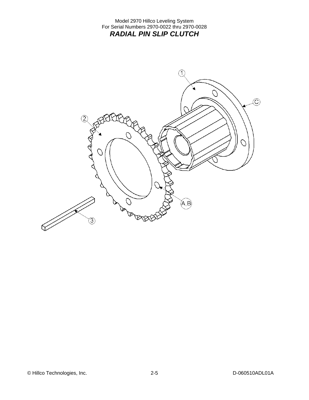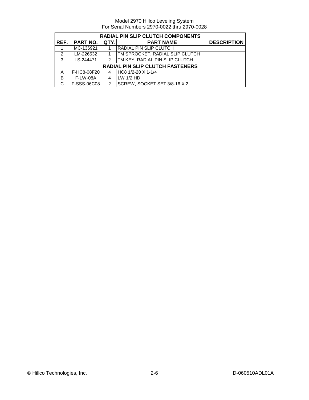| <b>RADIAL PIN SLIP CLUTCH COMPONENTS</b> |             |               |                                         |                    |  |  |
|------------------------------------------|-------------|---------------|-----------------------------------------|--------------------|--|--|
| REF.                                     | PART NO.    | QTY.          | <b>PART NAME</b>                        | <b>DESCRIPTION</b> |  |  |
|                                          | MC-136921   |               | RADIAL PIN SLIP CLUTCH                  |                    |  |  |
| $\mathfrak{p}$                           | LM-226532   |               | TM SPROCKET, RADIAL SLIP CLUTCH         |                    |  |  |
| 3                                        | LS-244471   | 2             | <b>TM KEY, RADIAL PIN SLIP CLUTCH</b>   |                    |  |  |
|                                          |             |               | <b>RADIAL PIN SLIP CLUTCH FASTENERS</b> |                    |  |  |
| Α                                        | F-HC8-08F20 |               | HC8 1/2-20 X 1-1/4                      |                    |  |  |
| B                                        | F-LW-08A    | 4             | LW 1/2 HD                               |                    |  |  |
|                                          | F-SSS-06C08 | $\mathcal{P}$ | SCREW, SOCKET SET 3/8-16 X 2            |                    |  |  |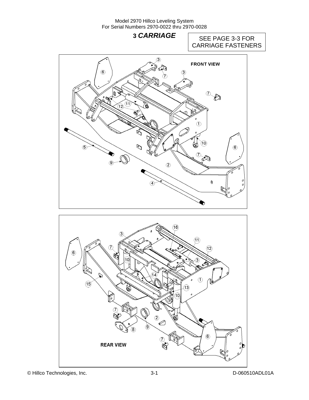# **3 CARRIAGE** SEE PAGE 3-3 FOR CARRIAGE FASTENERS

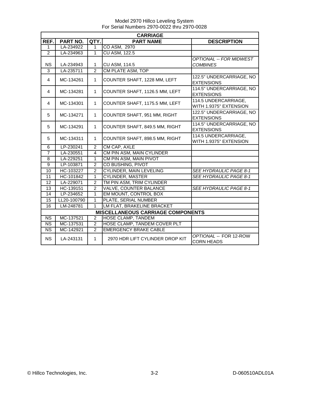|                        | <b>CARRIAGE</b>                          |                |                                 |                                                |  |  |  |
|------------------------|------------------------------------------|----------------|---------------------------------|------------------------------------------------|--|--|--|
| REF.                   | <b>PART NO.</b>                          | QTY.           | <b>PART NAME</b>                | <b>DESCRIPTION</b>                             |  |  |  |
| 1                      | LA-234922                                | 1              | CO ASM, 2970                    |                                                |  |  |  |
| 2                      | LA-234963                                | $\overline{1}$ | <b>CU ASM, 122.5</b>            |                                                |  |  |  |
|                        |                                          |                |                                 | <b>OPTIONAL -- FOR MIDWEST</b>                 |  |  |  |
| <b>NS</b>              | LA-234943                                | $\mathbf{1}$   | CU ASM, 114.5                   | <b>COMBINES</b>                                |  |  |  |
| 3                      | LA-235711                                | $\overline{2}$ | CM PLATE ASM, TOP               |                                                |  |  |  |
| $\overline{4}$         | MC-134261                                | 1              | COUNTER SHAFT, 1228 MM, LEFT    | 122.5" UNDERCARRIAGE, NO<br><b>EXTENSIONS</b>  |  |  |  |
| $\overline{4}$         | MC-134281                                | 1              | COUNTER SHAFT, 1126.5 MM, LEFT  | 114.5" UNDERCARRIAGE, NO<br><b>EXTENSIONS</b>  |  |  |  |
| 4                      | MC-134301                                | $\mathbf{1}$   | COUNTER SHAFT, 1175.5 MM, LEFT  | 114.5 UNDERCARRIAGE,<br>WITH 1.9375" EXTENSION |  |  |  |
| 5                      | MC-134271                                | 1              | COUNTER SHAFT, 951 MM, RIGHT    | 122.5" UNDERCARRIAGE, NO<br><b>EXTENSIONS</b>  |  |  |  |
| 5                      | MC-134291                                | 1              | COUNTER SHAFT, 849.5 MM, RIGHT  | 114.5" UNDERCARRIAGE, NO<br><b>EXTENSIONS</b>  |  |  |  |
| 5                      | MC-134311                                | 1              | COUNTER SHAFT, 898.5 MM, RIGHT  | 114.5 UNDERCARRIAGE,<br>WITH 1.9375" EXTENSION |  |  |  |
| 6                      | LP-230241                                | 2              | CM CAP, AXLE                    |                                                |  |  |  |
| $\overline{7}$         | LA-230551                                | $\overline{4}$ | CM PIN ASM, MAIN CYLINDER       |                                                |  |  |  |
| 8                      | LA-229251                                | $\mathbf{1}$   | CM PIN ASM, MAIN PIVOT          |                                                |  |  |  |
| 9                      | LP-103871                                | $\overline{2}$ | CO BUSHING, PIVOT               |                                                |  |  |  |
| 10                     | HC-103227                                | $\overline{2}$ | <b>CYLINDER, MAIN LEVELING</b>  | <b>SEE HYDRAULIC PAGE 8-1</b>                  |  |  |  |
| 11                     | HC-101842                                | $\mathbf{1}$   | <b>CYLINDER, MASTER</b>         | SEE HYDRAULIC PAGE 8-1                         |  |  |  |
| 12                     | LA-229071                                | $\overline{2}$ | TM PIN ASM, TRIM CYLINDER       |                                                |  |  |  |
| 13                     | HC-139151                                | $\overline{2}$ | VALVE, COUNTER BALANCE          | SEE HYDRAULIC PAGE 8-1                         |  |  |  |
| 14                     | LP-234652                                | 1              | EM MOUNT, CONTROL BOX           |                                                |  |  |  |
| 15                     | LL20-100790                              | $\mathbf{1}$   | PLATE, SERIAL NUMBER            |                                                |  |  |  |
| 16                     | LM-248781                                | 1              | LM FLAT, BRAKELINE BRACKET      |                                                |  |  |  |
|                        | <b>MISCELLANEOUS CARRIAGE COMPONENTS</b> |                |                                 |                                                |  |  |  |
| <b>NS</b>              | MC-137521                                | $\overline{2}$ | <b>HOSE CLAMP, TANDEM</b>       |                                                |  |  |  |
| <b>NS</b>              | MC-137531                                | $\overline{2}$ | HOSE CLAMP, TANDEM COVER PLT    |                                                |  |  |  |
| $\overline{\text{NS}}$ | MC-142921                                | $\overline{2}$ | <b>EMERGENCY BRAKE CABLE</b>    |                                                |  |  |  |
| <b>NS</b>              | LA-243131                                | $\mathbf 1$    | 2970 HDR LIFT CYLINDER DROP KIT | OPTIONAL -- FOR 12-ROW<br><b>CORN HEADS</b>    |  |  |  |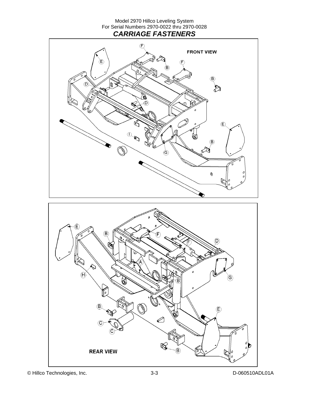Model 2970 Hillco Leveling System For Serial Numbers 2970-0022 thru 2970-0028 *CARRIAGE FASTENERS* 





© Hillco Technologies, Inc. 3-3 D-060510ADL01A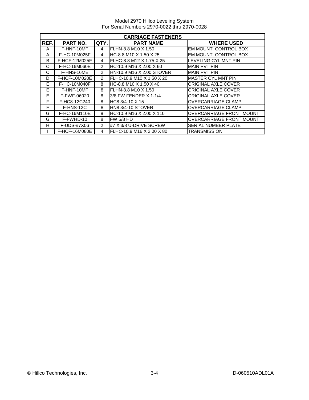Model 2970 Hillco Leveling System For Serial Numbers 2970-0022 thru 2970-0028

|      | <b>CARRIAGE FASTENERS</b> |               |                           |                                 |  |  |
|------|---------------------------|---------------|---------------------------|---------------------------------|--|--|
| REF. | <b>PART NO.</b>           | QTY.          | <b>PART NAME</b>          | <b>WHERE USED</b>               |  |  |
| A    | F-HNF-10MF                | 4             | FLHN-8.8 M10 X 1.50       | EM MOUNT, CONTROL BOX           |  |  |
| A    | F-HC-10M025F              | 4             | HC-8.8 M10 X 1.50 X 25    | EM MOUNT, CONTROL BOX           |  |  |
| B    | F-HCF-12M025F             | 4             | FLHC-8.8 M12 X 1.75 X 25  | LEVELING CYL MNT PIN            |  |  |
| C    | F-HC-16M060E              | $\mathcal{P}$ | HC-10.9 M16 X 2.00 X 60   | <b>MAIN PVT PIN</b>             |  |  |
| C    | F-HNS-16ME                | $\mathcal{P}$ | HN-10.9 M16 X 2.00 STOVER | IMAIN PVT PIN                   |  |  |
| D    | F-HCF-10M020E             | $\mathcal{P}$ | FLHC-10.9 M10 X 1.50 X 20 | <b>MASTER CYL MNT PIN</b>       |  |  |
| E    | F-HC-10M040F              | 8             | HC-8.8 M10 X 1.50 X 40    | <b>ORIGINAL AXLE COVER</b>      |  |  |
| E    | F-HNF-10MF                | 8             | FLHN-8.8 M10 X 1.50       | <b>ORIGINAL AXLE COVER</b>      |  |  |
| E    | F-FWF-06020               | 8             | 3/8 FW FENDER X 1-1/4     | <b>ORIGINAL AXLE COVER</b>      |  |  |
| F    | F-HC8-12C240              | 8             | HC8 3/4-10 X 15           | <b>OVERCARRIAGE CLAMP</b>       |  |  |
| F    | F-HNS-12C                 | 8             | HN8 3/4-10 STOVER         | <b>OVERCARRIAGE CLAMP</b>       |  |  |
| G    | F-HC-16M110E              | 8             | HC-10.9 M16 X 2.00 X 110  | <b>OVERCARRIAGE FRONT MOUNT</b> |  |  |
| G    | F-FWHD-10                 | 8             | <b>FW 5/8 HD</b>          | <b>OVERCARRIAGE FRONT MOUNT</b> |  |  |
| н    | F-UDS-#7X06               | $\mathcal{P}$ | #7 X 3/8 U-DRIVE SCREW    | <b>SERIAL NUMBER PLATE</b>      |  |  |
|      | F-HCF-16M080E             | 4             | FLHC-10.9 M16 X 2.00 X 80 | <b>TRANSMISSION</b>             |  |  |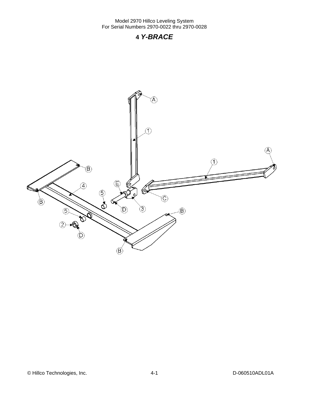### **4** *Y-BRACE*

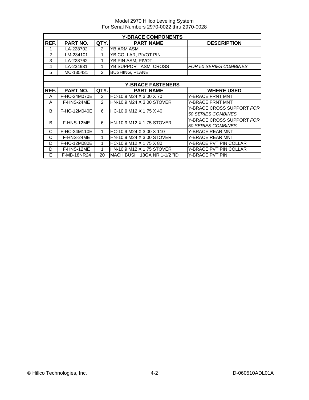|      | <b>Y-BRACE COMPONENTS</b> |                |                             |                                  |  |  |  |
|------|---------------------------|----------------|-----------------------------|----------------------------------|--|--|--|
| REF. | <b>PART NO.</b>           | QTY.           | <b>PART NAME</b>            | <b>DESCRIPTION</b>               |  |  |  |
| 1    | LA-228702                 | 2              | YB ARM ASM                  |                                  |  |  |  |
| 2    | LM-234101                 | 1              | YB COLLAR, PIVOT PIN        |                                  |  |  |  |
| 3    | LA-228762                 | 1              | YB PIN ASM, PIVOT           |                                  |  |  |  |
| 4    | LA-234931                 | 1              | YB SUPPORT ASM, CROSS       | <b>FOR 50 SERIES COMBINES</b>    |  |  |  |
| 5    | MC-135431                 | $\overline{2}$ | <b>BUSHING, PLANE</b>       |                                  |  |  |  |
|      |                           |                |                             |                                  |  |  |  |
|      |                           |                | <b>Y-BRACE FASTENERS</b>    |                                  |  |  |  |
| REF. | PART NO.                  | QTY.           | <b>PART NAME</b>            | <b>WHERE USED</b>                |  |  |  |
| A    | F-HC-24M070E              | 2              | HC-10.9 M24 X 3.00 X 70     | <b>Y-BRACE FRNT MNT</b>          |  |  |  |
| A    | F-HNS-24ME                | $\mathcal{P}$  | HN-10.9 M24 X 3.00 STOVER   | Y-BRACE FRNT MNT                 |  |  |  |
| B    | F-HC-12M040E              | 6              | HC-10.9 M12 X 1.75 X 40     | Y-BRACE CROSS SUPPORT FOR        |  |  |  |
|      |                           |                |                             | 50 SERIES COMBINES               |  |  |  |
| B    | F-HNS-12ME                | 6              | HN-10.9 M12 X 1.75 STOVER   | Y-BRACE CROSS SUPPORT <i>FOR</i> |  |  |  |
|      |                           |                |                             | 50 SERIES COMBINES               |  |  |  |
| C    | F-HC-24M110E              | 1              | HC-10.9 M24 X 3.00 X 110    | Y-BRACE REAR MNT                 |  |  |  |
| C    | F-HNS-24ME                | $\mathbf{1}$   | HN-10.9 M24 X 3.00 STOVER   | <b>Y-BRACE REAR MNT</b>          |  |  |  |
| D    | F-HC-12M080E              | 1              | HC-10.9 M12 X 1.75 X 80     | Y-BRACE PVT PIN COLLAR           |  |  |  |
| D    | F-HNS-12ME                | 1              | HN-10.9 M12 X 1.75 STOVER   | Y-BRACE PVT PIN COLLAR           |  |  |  |
| E    | F-MB-18NR24               | 20             | MACH BUSH 18GA NR 1-1/2 "ID | Y-BRACE PVT PIN                  |  |  |  |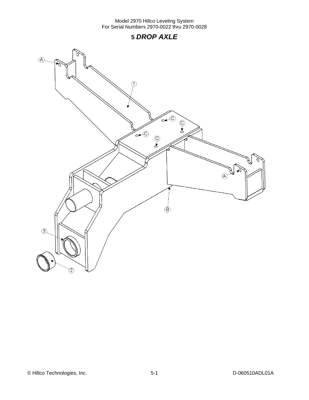# **5** *DROP AXLE*



© Hillco Technologies, Inc. 2008 100 000 1000 1000 5-1 D-060510ADL01A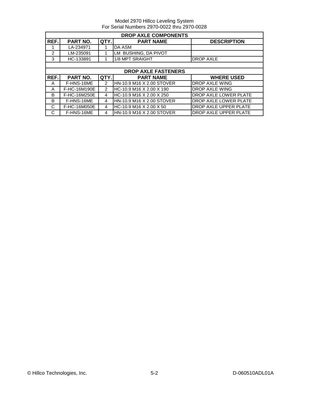|      | <b>DROP AXLE COMPONENTS</b> |                |                            |                              |  |  |
|------|-----------------------------|----------------|----------------------------|------------------------------|--|--|
| REF. | <b>PART NO.</b>             | QTY.           | <b>PART NAME</b>           | <b>DESCRIPTION</b>           |  |  |
|      | LA-234971                   |                | DA ASM                     |                              |  |  |
| 2    | LM-235091                   |                | LM BUSHING, DA PIVOT       |                              |  |  |
| 3    | HC-133891                   |                | 1/8 MPT SRAIGHT            | <b>DROP AXLE</b>             |  |  |
|      |                             |                |                            |                              |  |  |
|      |                             |                | <b>DROP AXLE FASTENERS</b> |                              |  |  |
| REF. | PART NO.                    | QTY.           | <b>PART NAME</b>           | <b>WHERE USED</b>            |  |  |
|      |                             |                |                            |                              |  |  |
| A    | F-HNS-16ME                  | $\mathcal{P}$  | HN-10.9 M16 X 2.00 STOVER  | <b>DROP AXLE WING</b>        |  |  |
| A    | F-HC-16M190E                | $\overline{2}$ | HC-10.9 M16 X 2.00 X 190   | <b>DROP AXLE WING</b>        |  |  |
| B    | F-HC-16M250E                | 4              | HC-10.9 M16 X 2.00 X 250   | DROP AXLE LOWER PLATE        |  |  |
| B    | F-HNS-16ME                  | 4              | HN-10.9 M16 X 2.00 STOVER  | DROP AXLE LOWER PLATE        |  |  |
| C    | F-HC-16M050E                | 4              | HC-10.9 M16 X 2.00 X 50    | <b>DROP AXLE UPPER PLATE</b> |  |  |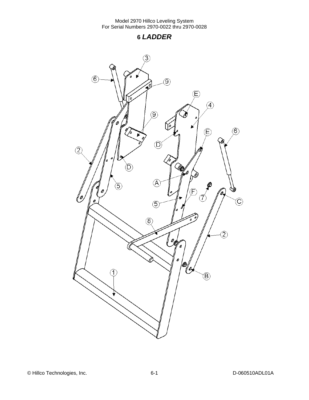**6** *LADDER* 

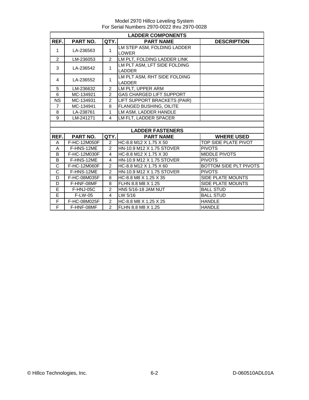|                | <b>LADDER COMPONENTS</b> |                |                                 |                          |  |  |  |
|----------------|--------------------------|----------------|---------------------------------|--------------------------|--|--|--|
| REF.           | <b>PART NO.</b>          | QTY.           | <b>PART NAME</b>                | <b>DESCRIPTION</b>       |  |  |  |
| $\mathbf{1}$   | LA-236563                | 1              | LM STEP ASM, FOLDING LADDER     |                          |  |  |  |
|                |                          |                | <b>LOWER</b>                    |                          |  |  |  |
| $\mathfrak{p}$ | LM-236053                | $\mathcal{P}$  | LM PLT, FOLDING LADDER LINK     |                          |  |  |  |
| 3              | LA-236542                | 1              | LM PLT ASM, LFT SIDE FOLDING    |                          |  |  |  |
|                |                          |                | <b>LADDER</b>                   |                          |  |  |  |
| 4              | LA-236552                | 1              | LM PLT ASM, RHT SIDE FOLDING    |                          |  |  |  |
|                |                          |                | <b>LADDER</b>                   |                          |  |  |  |
| 5              | LM-236632                | $\mathfrak{p}$ | LM PLT, UPPER ARM               |                          |  |  |  |
| 6              | MC-134921                | 2              | <b>GAS CHARGED LIFT SUPPORT</b> |                          |  |  |  |
| <b>NS</b>      | MC-134931                | $\mathcal{P}$  | LIFT SUPPORT BRACKETS (PAIR)    |                          |  |  |  |
| $\overline{7}$ | MC-134941                | 8              | FLANGED BUSHING, OILITE         |                          |  |  |  |
| 8              | LA-238761                | $\mathbf{1}$   | LM ASM, LADDER HANDLE           |                          |  |  |  |
| 9              | LM-241271                | $\overline{4}$ | LM FLT, LADDER SPACER           |                          |  |  |  |
|                |                          |                |                                 |                          |  |  |  |
|                |                          |                | <b>LADDER FASTENERS</b>         |                          |  |  |  |
| REF.           | PART NO.                 | QTY.           | <b>PART NAME</b>                | <b>WHERE USED</b>        |  |  |  |
| A              | F-HC-12M050F             | 2              | HC-8.8 M12 X 1.75 X 50          | TOP SIDE PLATE PIVOT     |  |  |  |
| A              | F-HNS-12ME               | $\mathfrak{p}$ | HN-10.9 M12 X 1.75 STOVER       | <b>PIVOTS</b>            |  |  |  |
| B              | F-HC-12M030F             | 4              | HC-8.8 M12 X 1.75 X 30          | <b>MIDDLE PIVOTS</b>     |  |  |  |
| B              | F-HNS-12ME               | 4              | HN-10.9 M12 X 1.75 STOVER       | <b>PIVOTS</b>            |  |  |  |
| C              | F-HC-12M060F             | 2              | HC-8.8 M12 X 1.75 X 60          | BOTTOM SIDE PLT PIVOTS   |  |  |  |
| $\overline{C}$ | F-HNS-12ME               | $\mathfrak{p}$ | HN-10.9 M12 X 1.75 STOVER       | <b>PIVOTS</b>            |  |  |  |
| D              | F-HC-08M035F             | 8              | HC-8.8 M8 X 1.25 X 35           | SIDE PLATE MOUNTS        |  |  |  |
| D              | F-HNF-08MF               | 8              | FLHN 8.8 M8 X 1.25              | <b>SIDE PLATE MOUNTS</b> |  |  |  |
| E              | F-HNJ-05C                | $\overline{2}$ | HN5 5/16-18 JAM NUT             | <b>BALL STUD</b>         |  |  |  |
| E              | F-LW-05                  | 4              | LW 5/16                         | <b>BALL STUD</b>         |  |  |  |
| F              | F-HC-08M025F             | $\overline{2}$ | HC-8.8 M8 X 1.25 X 25           | <b>HANDLE</b>            |  |  |  |
| F              | F-HNF-08MF               | $\mathcal{P}$  | FLHN 8.8 M8 X 1.25              | <b>HANDLE</b>            |  |  |  |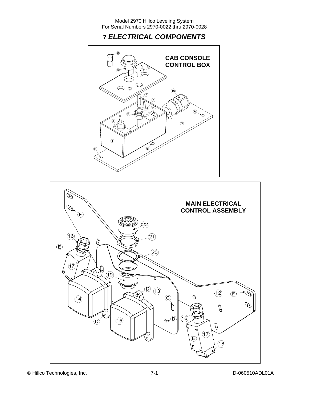# **7** *ELECTRICAL COMPONENTS*





© Hillco Technologies, Inc. 7-1 D-060510ADL01A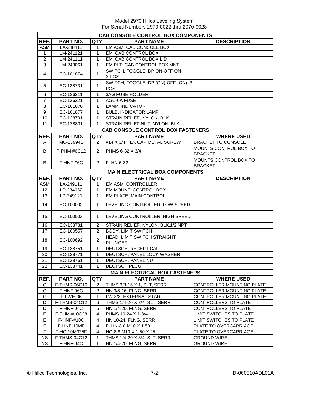|                  | CAB CONSOLE CONTROL BOX COMPONENTS |                |                                          |                              |  |  |
|------------------|------------------------------------|----------------|------------------------------------------|------------------------------|--|--|
| REF.             | PART NO.                           | QTY.           | <b>PART NAME</b>                         | <b>DESCRIPTION</b>           |  |  |
| <b>ASM</b>       | LA-248411                          | 1              | EM ASM, CAB CONSOLE BOX                  |                              |  |  |
| $\mathbf{1}$     | LM-241121                          | 1              | EM, CAB CONTROL BOX                      |                              |  |  |
| $\boldsymbol{2}$ | LM-241111                          | 1              | EM, CAB CONTROL BOX LID                  |                              |  |  |
| 3                | LM-243061                          | 1              | EM PLT, CAB CONTROL BOX MNT              |                              |  |  |
| $\overline{4}$   |                                    | 1              | SWITCH, TOGGLE, DP ON-OFF-ON             |                              |  |  |
|                  | EC-101874                          |                | 3 POS.                                   |                              |  |  |
| 5                | EC-138731                          | 1              | SWITCH, TOGGLE, DP (ON)-OFF-(ON), 3      |                              |  |  |
|                  |                                    |                | POS.                                     |                              |  |  |
| 6                | EC-136211                          | 1              | <b>3AG FUSE HOLDER</b>                   |                              |  |  |
| $\overline{7}$   | EC-136221                          | 1              | AGC-6A FUSE                              |                              |  |  |
| 8                | EC-101876                          | 1              | LAMP, INDICATOR                          |                              |  |  |
| $\overline{9}$   | EC-101877                          | 1              | <b>BULB, INDICATOR LAMP</b>              |                              |  |  |
| 10               | EC-138791                          | 1              | STRAIN RELIEF, NYLON, BLK                |                              |  |  |
| 11               | EC-138801                          | $\mathbf{1}$   | STRAIN RELIEF NUT, NYLON, BLK            |                              |  |  |
|                  |                                    |                | <b>CAB CONSOLE CONTROL BOX FASTENERS</b> |                              |  |  |
| REF.             | PART NO.                           | QTY.           | <b>PART NAME</b>                         | <b>WHERE USED</b>            |  |  |
| A                | MC-139941                          | $\overline{2}$ | #14 X 3/4 HEX CAP METAL SCREW            | <b>BRACKET TO CONSOLE</b>    |  |  |
| B                | F-PHM-#6C12                        | $\overline{2}$ | PHMS 6-32 X 3/4                          | MOUNTS CONTROL BOX TO        |  |  |
|                  |                                    |                |                                          | <b>BRACKET</b>               |  |  |
| B                | F-HNF-#6C                          | $\overline{2}$ | <b>FLHN 6-32</b>                         | <b>MOUNTS CONTROL BOX TO</b> |  |  |
|                  |                                    |                |                                          | <b>BRACKET</b>               |  |  |
|                  |                                    |                | <b>MAIN ELECTRICAL BOX COMPONENTS</b>    |                              |  |  |
| REF.             | PART NO.                           | QTY.           | <b>PART NAME</b>                         | <b>DESCRIPTION</b>           |  |  |
| <b>ASM</b>       | LA-249111                          | 1              | <b>EM ASM, CONTROLLER</b>                |                              |  |  |
| 12               | LP-234652                          | 1              | EM MOUNT, CONTROL BOX                    |                              |  |  |
| 13               | LP-249121                          | 1              | EM PLATE, MAIN CONTROL                   |                              |  |  |
| 14               | EC-100002                          | 1              | LEVELING CONTROLLER, LOW SPEED           |                              |  |  |
|                  |                                    |                |                                          |                              |  |  |
| 15               | EC-100003                          | 1              | LEVELING CONTROLLER, HIGH SPEED          |                              |  |  |
| 16               | EC-138781                          | 2              | STRAIN RELIEF, NYLON, BLK, 1/2 NPT       |                              |  |  |
| 17               | EC-100557                          | $\overline{c}$ | <b>BODY, LIMIT SWITCH</b>                |                              |  |  |
|                  |                                    |                | HEAD, LIMIT SWITCH STRAIGHT              |                              |  |  |
| 18               | EC-100692                          | 2              | <b>PLUNGER</b>                           |                              |  |  |
| 19               | EC-138751                          | 1              | DEUTSCH, RECEPTICAL                      |                              |  |  |
| 20               | EC-138771                          | 1              | DEUTSCH, PANEL LOCK WASHER               |                              |  |  |
| 21               | EC-138761                          | 1              | <b>DEUTSCH, PANEL NUT</b>                |                              |  |  |
| 22               | EC-138741                          | $\mathbf{1}$   | <b>DEUTSCH PLUG</b>                      |                              |  |  |
|                  |                                    |                | <b>MAIN ELECTRICAL BOX FASTENERS</b>     |                              |  |  |
| REF.             | PART NO.                           | QTY.           | <b>PART NAME</b>                         | <b>WHERE USED</b>            |  |  |
| $\mathsf C$      | F-THMS-06C16                       | $\overline{c}$ | THMS 3/8-16 X 1, SLT, SERR               | CONTROLLER MOUNTING PLATE    |  |  |
| $\mathsf C$      | F-HNF-06C                          | $\overline{c}$ | HN 3/8-16, FLNG, SERR                    | CONTROLLER MOUNTING PLATE    |  |  |
| $\mathsf C$      | F-LWE-06                           | 1              | LW 3/8, EXTERNAL STAR                    | CONTROLLER MOUNTING PLATE    |  |  |
| D                | F-THMS-04C12                       | 6              | THMS 1/4-20 X 3/4, SLT, SERR             | <b>CONTROLLERS TO PLATE</b>  |  |  |
| D                | F-HNF-04C                          | 6              | <b>HN 1/4-20, FLNG, SERR</b>             | CONTROLLERS TO PLATE         |  |  |
| Е                | F-PHM-#10C28                       | 4              | PHMS 10-24 X 1-3/4                       | LIMIT SWITCHES TO PLATE      |  |  |
| E                | F-HNF-#10C                         | 4              | HN 10-24, FLNG, SERR                     | LIMIT SWITCHES TO PLATE      |  |  |
| $\overline{F}$   | F-HNF-10MF                         | 4              | FLHN-8.8 M10 X 1.50                      | PLATE TO OVERCARRIAGE        |  |  |
| F                | F-HC-10M025F                       | 4              | HC-8.8 M10 X 1.50 X 25                   | PLATE TO OVERCARRIAGE        |  |  |
| <b>NS</b>        | <b>F-THMS-04C12</b>                | 1              | THMS 1/4-20 X 3/4, SLT, SERR             | <b>GROUND WIRE</b>           |  |  |
| <b>NS</b>        | F-HNF-04C                          | 1              | HN 1/4-20, FLNG, SERR                    | <b>GROUND WIRE</b>           |  |  |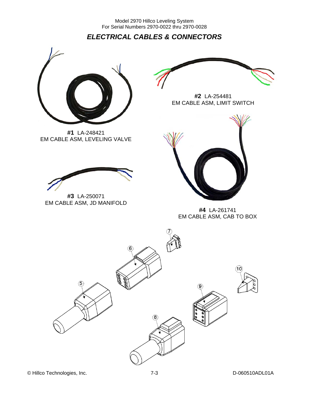*ELECTRICAL CABLES & CONNECTORS* 



**#1** LA-248421 EM CABLE ASM, LEVELING VALVE



**#3** LA-250071 EM CABLE ASM, JD MANIFOLD



**#2** LA-254481 EM CABLE ASM, LIMIT SWITCH



**#4** LA-261741 EM CABLE ASM, CAB TO BOX

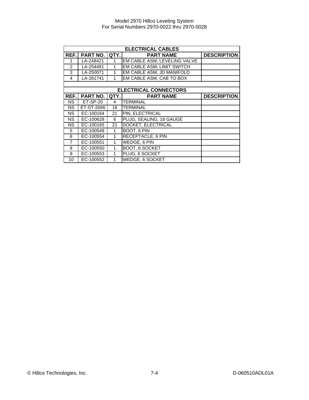|                | <b>ELECTRICAL CABLES</b> |      |                              |                    |  |  |
|----------------|--------------------------|------|------------------------------|--------------------|--|--|
| REF.           | <b>PART NO.</b>          | QTY. | <b>PART NAME</b>             | <b>DESCRIPTION</b> |  |  |
|                | LA-248421                |      | EM CABLE ASM, LEVELING VALVE |                    |  |  |
| $\mathfrak{p}$ | LA-254481                |      | EM CABLE ASM, LIMIT SWITCH   |                    |  |  |
| 3              | LA-250071                | 1    | EM CABLE ASM, JD MANIFOLD    |                    |  |  |
| 4              | LA-261741                |      | EM CABLE ASM, CAB TO BOX     |                    |  |  |
|                |                          |      |                              |                    |  |  |
|                |                          |      | <b>ELECTRICAL CONNECTORS</b> |                    |  |  |
| REF.           | <b>PART NO.</b>          | QTY. | <b>PART NAME</b>             | <b>DESCRIPTION</b> |  |  |
| <b>NS</b>      | $ET-SP-20$               | 4    | TERMINAL                     |                    |  |  |
| <b>NS</b>      | ET-ST-20#6               | 18   | <b>TERMINAL</b>              |                    |  |  |
| <b>NS</b>      | EC-100164                | 21   | PIN, ELECTRICAL              |                    |  |  |
| NS.            | EC-100628                | 6    | PLUG, SEALING, 18 GAUGE      |                    |  |  |
| <b>NS</b>      | EC-100165                | 21   | <b>SOCKET, ELECTRICAL</b>    |                    |  |  |
| 5              | EC-100549                | 1    | <b>BOOT, 6 PIN</b>           |                    |  |  |
| 6              | EC-100554                | 1    | <b>RECEPTACLE, 6 PIN</b>     |                    |  |  |
| $\overline{7}$ | EC-100551                | 1    | WEDGE, 6 PIN                 |                    |  |  |
| 8              | EC-100550                | 1    | BOOT, 6 SOCKET               |                    |  |  |
| 9              | EC-100553                | 1    | PLUG, 6 SOCKET               |                    |  |  |
| 10             | EC-100552                | 1    | <b>WEDGE, 6 SOCKET</b>       |                    |  |  |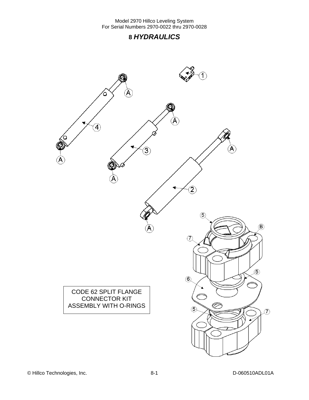## **8** *HYDRAULICS*

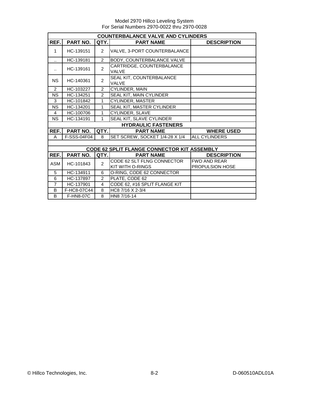|                      | <b>COUNTERBALANCE VALVE AND CYLINDERS</b> |                |                                                    |                                               |  |  |  |
|----------------------|-------------------------------------------|----------------|----------------------------------------------------|-----------------------------------------------|--|--|--|
| REF.                 | PART NO.                                  | QTY.           | <b>PART NAME</b>                                   | <b>DESCRIPTION</b>                            |  |  |  |
| 1                    | HC-139151                                 | $\overline{2}$ | VALVE, 3-PORT COUNTERBALANCE                       |                                               |  |  |  |
| $\ddotsc$            | HC-139181                                 | $\overline{2}$ | BODY, COUNTERBALANCE VALVE                         |                                               |  |  |  |
| $\ddot{\phantom{a}}$ | HC-139161                                 | $\mathcal{P}$  | CARTRIDGE, COUNTERBALANCE<br><b>VALVE</b>          |                                               |  |  |  |
| <b>NS</b>            | HC-140361                                 | $\mathcal{P}$  | SEAL KIT, COUNTERBALANCE<br><b>VALVE</b>           |                                               |  |  |  |
| 2                    | HC-103227                                 | $\mathfrak{p}$ | <b>CYLINDER, MAIN</b>                              |                                               |  |  |  |
| <b>NS</b>            | HC-134251                                 | $\overline{2}$ | SEAL KIT, MAIN CYLINDER                            |                                               |  |  |  |
| 3                    | HC-101842                                 | 1              | CYLINDER, MASTER                                   |                                               |  |  |  |
| <b>NS</b>            | HC-134201                                 | $\mathbf{1}$   | SEAL KIT, MASTER CYLINDER                          |                                               |  |  |  |
| 4                    | HC-100706                                 | 1              | CYLINDER, SLAVE                                    |                                               |  |  |  |
| <b>NS</b>            | HC-134191                                 | 1              | SEAL KIT, SLAVE CYLINDER                           |                                               |  |  |  |
|                      |                                           |                | <b>HYDRAULIC FASTENERS</b>                         |                                               |  |  |  |
| REF.                 | PART NO.                                  | QTY.           | <b>PART NAME</b>                                   | <b>WHERE USED</b>                             |  |  |  |
| A                    | F-SSS-04F04                               | 8              | SET SCREW, SOCKET 1/4-28 X 1/4                     | <b>ALL CYLINDERS</b>                          |  |  |  |
|                      |                                           |                |                                                    |                                               |  |  |  |
|                      |                                           |                | <b>CODE 62 SPLIT FLANGE CONNECTOR KIT ASSEMBLY</b> |                                               |  |  |  |
| REF.                 | PART NO.                                  | QTY.           | <b>PART NAME</b>                                   | <b>DESCRIPTION</b>                            |  |  |  |
| <b>ASM</b>           | HC-101843                                 | $\overline{2}$ | CODE 62 SLT FLNG CONNECTOR<br>KIT WITH O-RINGS     | <b>FWD AND REAR</b><br><b>PROPULSION HOSE</b> |  |  |  |
| 5                    | HC-134911                                 | 6              | O-RING, CODE 62 CONNECTOR                          |                                               |  |  |  |
| 6                    | HC-137897                                 | $\overline{2}$ | PLATE, CODE 62                                     |                                               |  |  |  |
| $\overline{7}$       | HC-137901                                 | 4              | CODE 62, #16 SPLIT FLANGE KIT                      |                                               |  |  |  |
| B                    | F-HC8-07C44                               | 8              | HC8 7/16 X 2-3/4                                   |                                               |  |  |  |
| B                    | <b>F-HN8-07C</b>                          | 8              | HN8 7/16-14                                        |                                               |  |  |  |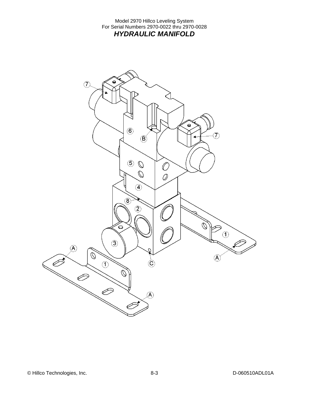#### Model 2970 Hillco Leveling System For Serial Numbers 2970-0022 thru 2970-0028 *HYDRAULIC MANIFOLD*

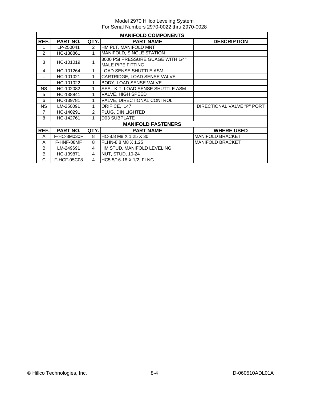| <b>MANIFOLD COMPONENTS</b> |                 |                |                                                        |                            |  |  |
|----------------------------|-----------------|----------------|--------------------------------------------------------|----------------------------|--|--|
| REF.                       | <b>PART NO.</b> | QTY.           | <b>PART NAME</b>                                       | <b>DESCRIPTION</b>         |  |  |
|                            | LP-250041       | 2              | HM PLT, MANIFOLD MNT                                   |                            |  |  |
| 2                          | HC-138861       | 1              | <b>MANIFOLD, SINGLE STATION</b>                        |                            |  |  |
| 3                          | HC-101019       | 1              | 3000 PSI PRESSURE GUAGE WITH 1/4"<br>MALE PIPE FITTING |                            |  |  |
| 4                          | HC-101264       | 1              | <b>LOAD SENSE SHUTTLE ASM</b>                          |                            |  |  |
|                            | HC-101021       | 1              | CARTRIDGE, LOAD SENSE VALVE                            |                            |  |  |
|                            | HC-101022       | 1              | BODY, LOAD SENSE VALVE                                 |                            |  |  |
| <b>NS</b>                  | HC-102082       | 1              | SEAL KIT, LOAD SENSE SHUTTLE ASM                       |                            |  |  |
| 5                          | HC-138841       | 1              | <b>VALVE, HIGH SPEED</b>                               |                            |  |  |
| 6                          | HC-139781       | 1              | VALVE, DIRECTIONAL CONTROL                             |                            |  |  |
| <b>NS</b>                  | LM-250091       | 1              | ORIFICE, .147                                          | DIRECTIONAL VALVE "P" PORT |  |  |
| $\overline{7}$             | HC-140291       | 2              | PLUG, DIN LIGHTED                                      |                            |  |  |
| 8                          | HC-142761       | 1              | D03 SUBPLATE                                           |                            |  |  |
|                            |                 |                | <b>MANIFOLD FASTENERS</b>                              |                            |  |  |
| REF.                       | PART NO.        | QTY.           | <b>PART NAME</b>                                       | <b>WHERE USED</b>          |  |  |
| A                          | F-HC-8M030F     | 8              | HC-8.8 M8 X 1.25 X 30                                  | <b>MANIFOLD BRACKET</b>    |  |  |
| A                          | F-HNF-08MF      | 8              | FLHN-8.8 M8 X 1.25                                     | <b>MANIFOLD BRACKET</b>    |  |  |
| B                          | LM-249691       | 4              | HM STUD, MANIFOLD LEVELING                             |                            |  |  |
| B                          | HC-139871       | 4              | <b>NUT, STUD, 10-24</b>                                |                            |  |  |
| C                          | F-HCF-05C08     | $\overline{4}$ | HC5 5/16-18 X 1/2, FLNG                                |                            |  |  |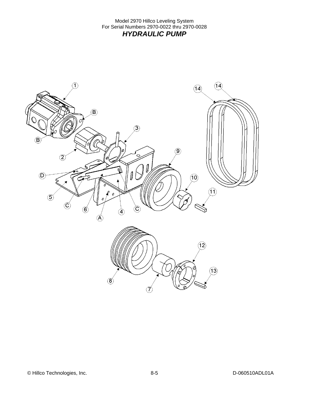Model 2970 Hillco Leveling System For Serial Numbers 2970-0022 thru 2970-0028 *HYDRAULIC PUMP* 

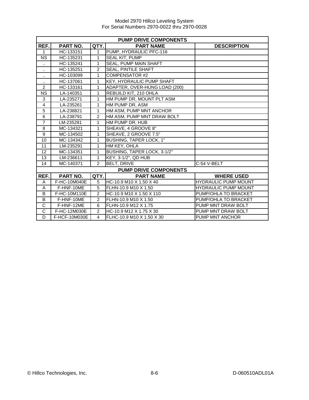| <b>PUMP DRIVE COMPONENTS</b> |               |                |                                  |                             |  |  |
|------------------------------|---------------|----------------|----------------------------------|-----------------------------|--|--|
| REF.                         | PART NO.      | QTY.           | <b>PART NAME</b>                 | <b>DESCRIPTION</b>          |  |  |
| 1                            | HC-133151     | 1              | PUMP, HYDRAULIC PFC-116          |                             |  |  |
| <b>NS</b>                    | HC-135231     | 1              | SEAL KIT, PUMP                   |                             |  |  |
| $\ddot{\phantom{a}}$         | HC-135241     | 1              | <b>SEAL, PUMP MAIN SHAFT</b>     |                             |  |  |
| $\ddotsc$                    | HC-135251     | $\mathfrak{p}$ | <b>SEAL, PINTILE SHAFT</b>       |                             |  |  |
| $\cdot$ .                    | HC-103099     | 1              | <b>COMPENSATOR #2</b>            |                             |  |  |
| $\cdot$ .                    | HC-137061     | 1              | <b>KEY. HYDRAULIC PUMP SHAFT</b> |                             |  |  |
| $\overline{2}$               | HC-133161     | 1              | ADAPTER, OVER-HUNG LOAD (200)    |                             |  |  |
| <b>NS</b>                    | LA-140351     | 1              | REBUILD KIT, 210 OHLA            |                             |  |  |
| 3                            | LA-235271     | 1              | HM PUMP DR, MOUNT PLT ASM        |                             |  |  |
| $\overline{4}$               | LA-235261     | 1              | HM PUMP DR, ASM                  |                             |  |  |
| $\overline{5}$               | LA-238821     | 1              | HM ASM, PUMP MNT ANCHOR          |                             |  |  |
| 6                            | LA-238791     | $\overline{2}$ | HM ASM, PUMP MNT DRAW BOLT       |                             |  |  |
| $\overline{7}$               | LM-235281     | 1              | HM PUMP DR, HUB                  |                             |  |  |
| 8                            | MC-134321     | 1              | SHEAVE, 4 GROOVE 8"              |                             |  |  |
| 9                            | MC-134502     | 1              | SHEAVE, 2 GROOVE 7.5"            |                             |  |  |
| 10                           | MC-134342     | 1              | BUSHING, TAPER LOCK, 1"          |                             |  |  |
| 11                           | LM-235291     | $\mathbf{1}$   | HM KEY, OHLA                     |                             |  |  |
| 12                           | MC-134351     | 1              | BUSHING, TAPER LOCK, 3-1/2"      |                             |  |  |
| 13                           | LM-236611     | 1              | KEY, 3-1/2", QD HUB              |                             |  |  |
| 14                           | MC-140371     | $\mathcal{P}$  | <b>BELT, DRIVE</b>               | C-54 V-BELT                 |  |  |
|                              |               |                | <b>PUMP DRIVE COMPONENTS</b>     |                             |  |  |
| REF.                         | PART NO.      | QTY.           | <b>PART NAME</b>                 | <b>WHERE USED</b>           |  |  |
| A                            | F-HC-10M040E  | 5              | HC-10.9 M10 X 1.50 X 40          | <b>HYDRAULIC PUMP MOUNT</b> |  |  |
| A                            | F-HNF-10ME    | 5              | FLHN-10.9 M10 X 1.50             | <b>HYDRAULIC PUMP MOUNT</b> |  |  |
| B                            | F-HC-10M110E  | $\overline{2}$ | HC-10.9 M10 X 1.50 X 110         | PUMP/OHLA TO BRACKET        |  |  |
| B                            | F-HNF-10ME    | $\overline{2}$ | FLHN-10.9 M10 X 1.50             | PUMP/OHLA TO BRACKET        |  |  |
| $\overline{\text{c}}$        | F-HNF-12ME    | 6              | FLHN-10.9 M12 X 1.75             | PUMP MNT DRAW BOLT          |  |  |
| $\overline{\text{c}}$        | F-HC-12M030E  | $\overline{2}$ | HC-10.9 M12 X 1.75 X 30          | PUMP MNT DRAW BOLT          |  |  |
| D                            | F-HCF-10M030E | 4              | FLHC-10.9 M10 X 1.50 X 30        | PUMP MNT ANCHOR             |  |  |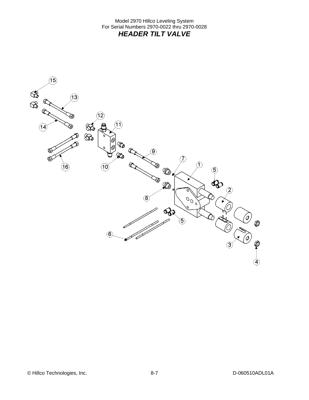Model 2970 Hillco Leveling System For Serial Numbers 2970-0022 thru 2970-0028 *HEADER TILT VALVE* 

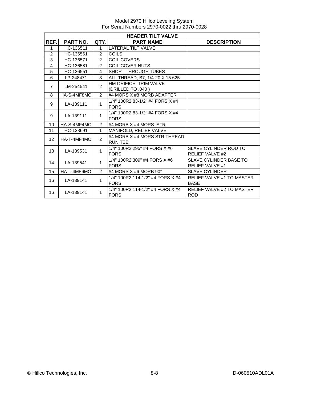|                   | <b>HEADER TILT VALVE</b> |                |                                                 |                                                         |  |  |  |  |
|-------------------|--------------------------|----------------|-------------------------------------------------|---------------------------------------------------------|--|--|--|--|
| REF.              | <b>PART NO.</b>          | QTY.           | <b>PART NAME</b>                                | <b>DESCRIPTION</b>                                      |  |  |  |  |
| 1                 | HC-136511                | 1              | <b>LATERAL TILT VALVE</b>                       |                                                         |  |  |  |  |
| $\overline{2}$    | HC-136561                | $\overline{2}$ | <b>COILS</b>                                    |                                                         |  |  |  |  |
| 3                 | HC-136571                | 2              | <b>COIL COVERS</b>                              |                                                         |  |  |  |  |
| 4                 | HC-136581                | $\overline{2}$ | <b>COIL COVER NUTS</b>                          |                                                         |  |  |  |  |
| $\overline{5}$    | HC-136551                | 4              | <b>SHORT THROUGH TUBES</b>                      |                                                         |  |  |  |  |
| 6                 | LP-248471                | 3              | ALL THREAD, B7, 1/4-20 X 15.625                 |                                                         |  |  |  |  |
| $\overline{7}$    | LM-254541                | $\overline{2}$ | HM ORIFICE, TRIM VALVE<br>(DRILLED TO .040)     |                                                         |  |  |  |  |
| 8                 | HA-S-4MF8MO              | $\mathcal{P}$  | #4 MORS X #8 MORB ADAPTER                       |                                                         |  |  |  |  |
| 9                 | LA-139111                | 1              | 1/4" 100R2 83-1/2" #4 FORS X #4<br><b>FORS</b>  |                                                         |  |  |  |  |
| 9                 | LA-139111                | $\mathbf{1}$   | 1/4" 100R2 83-1/2" #4 FORS X #4<br><b>FORS</b>  |                                                         |  |  |  |  |
| 10                | HA-S-4MF4MO              | $\mathcal{P}$  | #4 MORB X #4 MORS STR                           |                                                         |  |  |  |  |
| 11                | HC-138691                | $\mathbf{1}$   | <b>MANIFOLD, RELIEF VALVE</b>                   |                                                         |  |  |  |  |
| $12 \overline{ }$ | HA-T-4MF4MO              | $\mathfrak{p}$ | #4 MORB X #4 MORS STR THREAD<br><b>RUN TEE</b>  |                                                         |  |  |  |  |
| 13                | LA-139531                | 1              | 1/4" 100R2 295" #4 FORS X #6<br><b>FORS</b>     | <b>SLAVE CYLINDER ROD TO</b><br><b>RELIEF VALVE #2</b>  |  |  |  |  |
| 14                | LA-139541                | $\mathbf{1}$   | 1/4" 100R2 309" #4 FORS X #6<br><b>FORS</b>     | <b>SLAVE CYLINDER BASE TO</b><br><b>RELIEF VALVE #1</b> |  |  |  |  |
| 15                | HA-L-4MF6MO              | $\mathcal{P}$  | #4 MORS X #6 MORB 90 $^{\circ}$                 | <b>SLAVE CYLINDER</b>                                   |  |  |  |  |
| 16                | LA-139141                | $\mathbf{1}$   | 1/4" 100R2 114-1/2" #4 FORS X #4<br><b>FORS</b> | <b>RELIEF VALVE #1 TO MASTER</b><br><b>BASE</b>         |  |  |  |  |
| 16                | LA-139141                | $\mathbf 1$    | 1/4" 100R2 114-1/2" #4 FORS X #4<br><b>FORS</b> | <b>RELIEF VALVE #2 TO MASTER</b><br><b>ROD</b>          |  |  |  |  |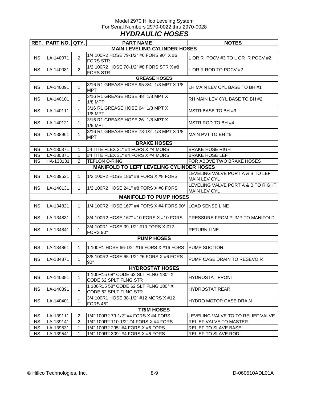#### Model 2970 Hillco Leveling System For Serial Numbers 2970-0022 thru 2970-0028 *HYDRAULIC HOSES*

| REF. PART NO. QTY.<br><b>MAIN LEVELING CYLINDER HOSES</b><br>1/4 100R2 HOSE 79-1/2" #6 FORS 90° X #6<br><b>NS</b><br>LA-140071<br>$\overline{2}$<br>LOR R POCV #3 TO LOR R POCV #2<br><b>FORS STR</b><br>1/2 100R2 HOSE 70-1/2" #8 FORS STR X #8<br>$\overline{2}$<br><b>NS</b><br>L OR R ROD TO POCV #2<br>LA-140081<br><b>FORS STR</b><br><b>GREASE HOSES</b><br>3/16 R1 GREASE HOSE 95-3/4" 1/8 MPT X 1/8<br>LA-140091<br><b>NS</b><br>$\mathbf{1}$<br>LH MAIN LEV CYL BASE TO BH #1<br><b>MPT</b><br>3/16 R1 GREASE HOSE 48" 1/8 MPT X<br><b>NS</b><br>LA-140101<br>RH MAIN LEV CYL BASE TO BH #2<br>$\mathbf 1$<br>$1/8$ MPT<br>3/16 R1 GREASE HOSE 64" 1/8 MPT X<br><b>NS</b><br>LA-140111<br>MSTR BASE TO BH #3<br>$\mathbf 1$<br>$1/8$ MPT<br>3/16 R1 GREASE HOSE 26" 1/8 MPT X<br><b>NS</b><br>LA-140121<br>MSTR ROD TO BH #4<br>$\mathbf 1$<br>1/8 MPT<br>3/16 R1 GREASE HOSE 78-1/2" 1/8 MPT X 1/8<br><b>NS</b><br>LA-138961<br>MAIN PVT TO BH #5<br>1<br><b>MPT</b><br><b>BRAKE HOSES</b><br>LA-130371<br>#4 TITE FLEX 31" #4 FORS X #4 MORS<br>NS.<br>1<br><b>BRAKE HOSE RIGHT</b><br>LA-130371<br>#4 TITE FLEX 31" #4 FORS X #4 MORS<br><b>BRAKE HOSE LEFT</b><br>NS.<br>1<br><b>NS</b><br>2<br>FOR ABOVE TWO BRAKE HOSES<br>HA-133131<br><b>TEFLON O-RING</b><br><b>MANIFOLD TO LEFT LEVELING CYLINDER HOSES</b><br>LEVELING VALVE PORT A & B TO LEFT<br><b>NS</b><br>LA-139521<br>$\mathbf{1}$<br>1/2 100R2 HOSE 186" #8 FORS X #8 FORS<br><b>MAIN LEV CYL</b><br><b>NS</b><br>LA-140131<br>1/2 100R2 HOSE 241" #8 FORS X #8 FORS<br>$\mathbf{1}$<br><b>MAIN LEV CYL</b><br><b>MANIFOLD TO PUMP HOSES</b><br><b>NS</b><br>LA-134821<br>1/4 100R2 HOSE 167" #4 FORS X #4 FORS 90 $^{\circ}$ ILOAD SENSE LINE<br>$\mathbf 1$<br><b>NS</b><br>LA-134831<br>3/4 100R2 HOSE 167" #10 FORS X #10 FORS<br>$\mathbf 1$<br>3/4 100R1 HOSE 39-1/2" #10 FORS X #12<br><b>NS</b><br>LA-134841<br><b>RETURN LINE</b><br>$\mathbf 1$<br>FORS 90°<br><b>PUMP HOSES</b><br><b>NS</b><br>LA-134861<br>1 100R1 HOSE 66-1/2" #16 FORS X #16 FORS<br>PUMP SUCTION<br>$\mathbf 1$<br>3/8 100R2 HOSE 65-1/2" #6 FORS X #6 FORS<br><b>NS</b><br>LA-134871<br>$\mathbf{1}$<br>PUMP CASE DRAIN TO RESEVOIR<br>$90^\circ$<br><b>HYDROSTAT HOSES</b><br>1 100R15 68" CODE 62 SLT FLNG 180° X<br><b>NS</b><br>LA-140381<br><b>HYDROSTAT FRONT</b><br>$\mathbf 1$<br>CODE 62 SPLT FLNG STR<br>1 100R15 58" CODE 62 SLT FLNG 180° X<br><b>NS</b><br>LA-140391<br>$\mathbf 1$<br>HYDROSTAT REAR<br>CODE 62 SPLT FLNG STR<br>3/4 100R1 HOSE 38-1/2" #12 MORS X #12<br><b>NS</b><br>LA-140401<br>HYDRO MOTOR CASE DRAIN<br>1<br>FORS 45°<br><b>TRIM HOSES</b><br>NS<br>LA-139111<br>2<br>1/4" 100R2 79-1/2" #4 FORS X #4 FORS<br><b>NS</b><br>LA-139141<br>2<br>1/4" 100R2 110-1/2" #4 FORS X #4 FORS<br>RELIEF VALVE TO MASTER<br><b>NS</b><br>LA-139531<br>1/4" 100R2 295" #4 FORS X #6 FORS<br>RELIEF TO SLAVE BASE<br>1<br><b>NS</b><br>RELIEF TO SLAVE ROD<br>LA-139541<br>1/4" 100R2 309" #4 FORS X #6 FORS<br>1 |  |  | <b>PART NAME</b> | <b>NOTES</b>                       |  |  |  |  |  |
|-------------------------------------------------------------------------------------------------------------------------------------------------------------------------------------------------------------------------------------------------------------------------------------------------------------------------------------------------------------------------------------------------------------------------------------------------------------------------------------------------------------------------------------------------------------------------------------------------------------------------------------------------------------------------------------------------------------------------------------------------------------------------------------------------------------------------------------------------------------------------------------------------------------------------------------------------------------------------------------------------------------------------------------------------------------------------------------------------------------------------------------------------------------------------------------------------------------------------------------------------------------------------------------------------------------------------------------------------------------------------------------------------------------------------------------------------------------------------------------------------------------------------------------------------------------------------------------------------------------------------------------------------------------------------------------------------------------------------------------------------------------------------------------------------------------------------------------------------------------------------------------------------------------------------------------------------------------------------------------------------------------------------------------------------------------------------------------------------------------------------------------------------------------------------------------------------------------------------------------------------------------------------------------------------------------------------------------------------------------------------------------------------------------------------------------------------------------------------------------------------------------------------------------------------------------------------------------------------------------------------------------------------------------------------------------------------------------------------------------------------------------------------------------------------------------------------------------------------------------------------------------------------------------------------------------------------------------------------------------------------------|--|--|------------------|------------------------------------|--|--|--|--|--|
|                                                                                                                                                                                                                                                                                                                                                                                                                                                                                                                                                                                                                                                                                                                                                                                                                                                                                                                                                                                                                                                                                                                                                                                                                                                                                                                                                                                                                                                                                                                                                                                                                                                                                                                                                                                                                                                                                                                                                                                                                                                                                                                                                                                                                                                                                                                                                                                                                                                                                                                                                                                                                                                                                                                                                                                                                                                                                                                                                                                                       |  |  |                  |                                    |  |  |  |  |  |
|                                                                                                                                                                                                                                                                                                                                                                                                                                                                                                                                                                                                                                                                                                                                                                                                                                                                                                                                                                                                                                                                                                                                                                                                                                                                                                                                                                                                                                                                                                                                                                                                                                                                                                                                                                                                                                                                                                                                                                                                                                                                                                                                                                                                                                                                                                                                                                                                                                                                                                                                                                                                                                                                                                                                                                                                                                                                                                                                                                                                       |  |  |                  |                                    |  |  |  |  |  |
|                                                                                                                                                                                                                                                                                                                                                                                                                                                                                                                                                                                                                                                                                                                                                                                                                                                                                                                                                                                                                                                                                                                                                                                                                                                                                                                                                                                                                                                                                                                                                                                                                                                                                                                                                                                                                                                                                                                                                                                                                                                                                                                                                                                                                                                                                                                                                                                                                                                                                                                                                                                                                                                                                                                                                                                                                                                                                                                                                                                                       |  |  |                  |                                    |  |  |  |  |  |
|                                                                                                                                                                                                                                                                                                                                                                                                                                                                                                                                                                                                                                                                                                                                                                                                                                                                                                                                                                                                                                                                                                                                                                                                                                                                                                                                                                                                                                                                                                                                                                                                                                                                                                                                                                                                                                                                                                                                                                                                                                                                                                                                                                                                                                                                                                                                                                                                                                                                                                                                                                                                                                                                                                                                                                                                                                                                                                                                                                                                       |  |  |                  |                                    |  |  |  |  |  |
|                                                                                                                                                                                                                                                                                                                                                                                                                                                                                                                                                                                                                                                                                                                                                                                                                                                                                                                                                                                                                                                                                                                                                                                                                                                                                                                                                                                                                                                                                                                                                                                                                                                                                                                                                                                                                                                                                                                                                                                                                                                                                                                                                                                                                                                                                                                                                                                                                                                                                                                                                                                                                                                                                                                                                                                                                                                                                                                                                                                                       |  |  |                  |                                    |  |  |  |  |  |
|                                                                                                                                                                                                                                                                                                                                                                                                                                                                                                                                                                                                                                                                                                                                                                                                                                                                                                                                                                                                                                                                                                                                                                                                                                                                                                                                                                                                                                                                                                                                                                                                                                                                                                                                                                                                                                                                                                                                                                                                                                                                                                                                                                                                                                                                                                                                                                                                                                                                                                                                                                                                                                                                                                                                                                                                                                                                                                                                                                                                       |  |  |                  |                                    |  |  |  |  |  |
|                                                                                                                                                                                                                                                                                                                                                                                                                                                                                                                                                                                                                                                                                                                                                                                                                                                                                                                                                                                                                                                                                                                                                                                                                                                                                                                                                                                                                                                                                                                                                                                                                                                                                                                                                                                                                                                                                                                                                                                                                                                                                                                                                                                                                                                                                                                                                                                                                                                                                                                                                                                                                                                                                                                                                                                                                                                                                                                                                                                                       |  |  |                  |                                    |  |  |  |  |  |
|                                                                                                                                                                                                                                                                                                                                                                                                                                                                                                                                                                                                                                                                                                                                                                                                                                                                                                                                                                                                                                                                                                                                                                                                                                                                                                                                                                                                                                                                                                                                                                                                                                                                                                                                                                                                                                                                                                                                                                                                                                                                                                                                                                                                                                                                                                                                                                                                                                                                                                                                                                                                                                                                                                                                                                                                                                                                                                                                                                                                       |  |  |                  |                                    |  |  |  |  |  |
|                                                                                                                                                                                                                                                                                                                                                                                                                                                                                                                                                                                                                                                                                                                                                                                                                                                                                                                                                                                                                                                                                                                                                                                                                                                                                                                                                                                                                                                                                                                                                                                                                                                                                                                                                                                                                                                                                                                                                                                                                                                                                                                                                                                                                                                                                                                                                                                                                                                                                                                                                                                                                                                                                                                                                                                                                                                                                                                                                                                                       |  |  |                  |                                    |  |  |  |  |  |
|                                                                                                                                                                                                                                                                                                                                                                                                                                                                                                                                                                                                                                                                                                                                                                                                                                                                                                                                                                                                                                                                                                                                                                                                                                                                                                                                                                                                                                                                                                                                                                                                                                                                                                                                                                                                                                                                                                                                                                                                                                                                                                                                                                                                                                                                                                                                                                                                                                                                                                                                                                                                                                                                                                                                                                                                                                                                                                                                                                                                       |  |  |                  |                                    |  |  |  |  |  |
|                                                                                                                                                                                                                                                                                                                                                                                                                                                                                                                                                                                                                                                                                                                                                                                                                                                                                                                                                                                                                                                                                                                                                                                                                                                                                                                                                                                                                                                                                                                                                                                                                                                                                                                                                                                                                                                                                                                                                                                                                                                                                                                                                                                                                                                                                                                                                                                                                                                                                                                                                                                                                                                                                                                                                                                                                                                                                                                                                                                                       |  |  |                  |                                    |  |  |  |  |  |
|                                                                                                                                                                                                                                                                                                                                                                                                                                                                                                                                                                                                                                                                                                                                                                                                                                                                                                                                                                                                                                                                                                                                                                                                                                                                                                                                                                                                                                                                                                                                                                                                                                                                                                                                                                                                                                                                                                                                                                                                                                                                                                                                                                                                                                                                                                                                                                                                                                                                                                                                                                                                                                                                                                                                                                                                                                                                                                                                                                                                       |  |  |                  |                                    |  |  |  |  |  |
|                                                                                                                                                                                                                                                                                                                                                                                                                                                                                                                                                                                                                                                                                                                                                                                                                                                                                                                                                                                                                                                                                                                                                                                                                                                                                                                                                                                                                                                                                                                                                                                                                                                                                                                                                                                                                                                                                                                                                                                                                                                                                                                                                                                                                                                                                                                                                                                                                                                                                                                                                                                                                                                                                                                                                                                                                                                                                                                                                                                                       |  |  |                  |                                    |  |  |  |  |  |
|                                                                                                                                                                                                                                                                                                                                                                                                                                                                                                                                                                                                                                                                                                                                                                                                                                                                                                                                                                                                                                                                                                                                                                                                                                                                                                                                                                                                                                                                                                                                                                                                                                                                                                                                                                                                                                                                                                                                                                                                                                                                                                                                                                                                                                                                                                                                                                                                                                                                                                                                                                                                                                                                                                                                                                                                                                                                                                                                                                                                       |  |  |                  |                                    |  |  |  |  |  |
|                                                                                                                                                                                                                                                                                                                                                                                                                                                                                                                                                                                                                                                                                                                                                                                                                                                                                                                                                                                                                                                                                                                                                                                                                                                                                                                                                                                                                                                                                                                                                                                                                                                                                                                                                                                                                                                                                                                                                                                                                                                                                                                                                                                                                                                                                                                                                                                                                                                                                                                                                                                                                                                                                                                                                                                                                                                                                                                                                                                                       |  |  |                  |                                    |  |  |  |  |  |
|                                                                                                                                                                                                                                                                                                                                                                                                                                                                                                                                                                                                                                                                                                                                                                                                                                                                                                                                                                                                                                                                                                                                                                                                                                                                                                                                                                                                                                                                                                                                                                                                                                                                                                                                                                                                                                                                                                                                                                                                                                                                                                                                                                                                                                                                                                                                                                                                                                                                                                                                                                                                                                                                                                                                                                                                                                                                                                                                                                                                       |  |  |                  |                                    |  |  |  |  |  |
|                                                                                                                                                                                                                                                                                                                                                                                                                                                                                                                                                                                                                                                                                                                                                                                                                                                                                                                                                                                                                                                                                                                                                                                                                                                                                                                                                                                                                                                                                                                                                                                                                                                                                                                                                                                                                                                                                                                                                                                                                                                                                                                                                                                                                                                                                                                                                                                                                                                                                                                                                                                                                                                                                                                                                                                                                                                                                                                                                                                                       |  |  |                  |                                    |  |  |  |  |  |
|                                                                                                                                                                                                                                                                                                                                                                                                                                                                                                                                                                                                                                                                                                                                                                                                                                                                                                                                                                                                                                                                                                                                                                                                                                                                                                                                                                                                                                                                                                                                                                                                                                                                                                                                                                                                                                                                                                                                                                                                                                                                                                                                                                                                                                                                                                                                                                                                                                                                                                                                                                                                                                                                                                                                                                                                                                                                                                                                                                                                       |  |  |                  | LEVELING VALVE PORT A & B TO RIGHT |  |  |  |  |  |
|                                                                                                                                                                                                                                                                                                                                                                                                                                                                                                                                                                                                                                                                                                                                                                                                                                                                                                                                                                                                                                                                                                                                                                                                                                                                                                                                                                                                                                                                                                                                                                                                                                                                                                                                                                                                                                                                                                                                                                                                                                                                                                                                                                                                                                                                                                                                                                                                                                                                                                                                                                                                                                                                                                                                                                                                                                                                                                                                                                                                       |  |  |                  |                                    |  |  |  |  |  |
|                                                                                                                                                                                                                                                                                                                                                                                                                                                                                                                                                                                                                                                                                                                                                                                                                                                                                                                                                                                                                                                                                                                                                                                                                                                                                                                                                                                                                                                                                                                                                                                                                                                                                                                                                                                                                                                                                                                                                                                                                                                                                                                                                                                                                                                                                                                                                                                                                                                                                                                                                                                                                                                                                                                                                                                                                                                                                                                                                                                                       |  |  |                  |                                    |  |  |  |  |  |
|                                                                                                                                                                                                                                                                                                                                                                                                                                                                                                                                                                                                                                                                                                                                                                                                                                                                                                                                                                                                                                                                                                                                                                                                                                                                                                                                                                                                                                                                                                                                                                                                                                                                                                                                                                                                                                                                                                                                                                                                                                                                                                                                                                                                                                                                                                                                                                                                                                                                                                                                                                                                                                                                                                                                                                                                                                                                                                                                                                                                       |  |  |                  | PRESSURE FROM PUMP TO MANIFOLD     |  |  |  |  |  |
|                                                                                                                                                                                                                                                                                                                                                                                                                                                                                                                                                                                                                                                                                                                                                                                                                                                                                                                                                                                                                                                                                                                                                                                                                                                                                                                                                                                                                                                                                                                                                                                                                                                                                                                                                                                                                                                                                                                                                                                                                                                                                                                                                                                                                                                                                                                                                                                                                                                                                                                                                                                                                                                                                                                                                                                                                                                                                                                                                                                                       |  |  |                  |                                    |  |  |  |  |  |
|                                                                                                                                                                                                                                                                                                                                                                                                                                                                                                                                                                                                                                                                                                                                                                                                                                                                                                                                                                                                                                                                                                                                                                                                                                                                                                                                                                                                                                                                                                                                                                                                                                                                                                                                                                                                                                                                                                                                                                                                                                                                                                                                                                                                                                                                                                                                                                                                                                                                                                                                                                                                                                                                                                                                                                                                                                                                                                                                                                                                       |  |  |                  |                                    |  |  |  |  |  |
|                                                                                                                                                                                                                                                                                                                                                                                                                                                                                                                                                                                                                                                                                                                                                                                                                                                                                                                                                                                                                                                                                                                                                                                                                                                                                                                                                                                                                                                                                                                                                                                                                                                                                                                                                                                                                                                                                                                                                                                                                                                                                                                                                                                                                                                                                                                                                                                                                                                                                                                                                                                                                                                                                                                                                                                                                                                                                                                                                                                                       |  |  |                  |                                    |  |  |  |  |  |
|                                                                                                                                                                                                                                                                                                                                                                                                                                                                                                                                                                                                                                                                                                                                                                                                                                                                                                                                                                                                                                                                                                                                                                                                                                                                                                                                                                                                                                                                                                                                                                                                                                                                                                                                                                                                                                                                                                                                                                                                                                                                                                                                                                                                                                                                                                                                                                                                                                                                                                                                                                                                                                                                                                                                                                                                                                                                                                                                                                                                       |  |  |                  |                                    |  |  |  |  |  |
|                                                                                                                                                                                                                                                                                                                                                                                                                                                                                                                                                                                                                                                                                                                                                                                                                                                                                                                                                                                                                                                                                                                                                                                                                                                                                                                                                                                                                                                                                                                                                                                                                                                                                                                                                                                                                                                                                                                                                                                                                                                                                                                                                                                                                                                                                                                                                                                                                                                                                                                                                                                                                                                                                                                                                                                                                                                                                                                                                                                                       |  |  |                  |                                    |  |  |  |  |  |
|                                                                                                                                                                                                                                                                                                                                                                                                                                                                                                                                                                                                                                                                                                                                                                                                                                                                                                                                                                                                                                                                                                                                                                                                                                                                                                                                                                                                                                                                                                                                                                                                                                                                                                                                                                                                                                                                                                                                                                                                                                                                                                                                                                                                                                                                                                                                                                                                                                                                                                                                                                                                                                                                                                                                                                                                                                                                                                                                                                                                       |  |  |                  |                                    |  |  |  |  |  |
|                                                                                                                                                                                                                                                                                                                                                                                                                                                                                                                                                                                                                                                                                                                                                                                                                                                                                                                                                                                                                                                                                                                                                                                                                                                                                                                                                                                                                                                                                                                                                                                                                                                                                                                                                                                                                                                                                                                                                                                                                                                                                                                                                                                                                                                                                                                                                                                                                                                                                                                                                                                                                                                                                                                                                                                                                                                                                                                                                                                                       |  |  |                  |                                    |  |  |  |  |  |
|                                                                                                                                                                                                                                                                                                                                                                                                                                                                                                                                                                                                                                                                                                                                                                                                                                                                                                                                                                                                                                                                                                                                                                                                                                                                                                                                                                                                                                                                                                                                                                                                                                                                                                                                                                                                                                                                                                                                                                                                                                                                                                                                                                                                                                                                                                                                                                                                                                                                                                                                                                                                                                                                                                                                                                                                                                                                                                                                                                                                       |  |  |                  |                                    |  |  |  |  |  |
|                                                                                                                                                                                                                                                                                                                                                                                                                                                                                                                                                                                                                                                                                                                                                                                                                                                                                                                                                                                                                                                                                                                                                                                                                                                                                                                                                                                                                                                                                                                                                                                                                                                                                                                                                                                                                                                                                                                                                                                                                                                                                                                                                                                                                                                                                                                                                                                                                                                                                                                                                                                                                                                                                                                                                                                                                                                                                                                                                                                                       |  |  |                  |                                    |  |  |  |  |  |
|                                                                                                                                                                                                                                                                                                                                                                                                                                                                                                                                                                                                                                                                                                                                                                                                                                                                                                                                                                                                                                                                                                                                                                                                                                                                                                                                                                                                                                                                                                                                                                                                                                                                                                                                                                                                                                                                                                                                                                                                                                                                                                                                                                                                                                                                                                                                                                                                                                                                                                                                                                                                                                                                                                                                                                                                                                                                                                                                                                                                       |  |  |                  | LEVELING VALVE TO TO RELIEF VALVE  |  |  |  |  |  |
|                                                                                                                                                                                                                                                                                                                                                                                                                                                                                                                                                                                                                                                                                                                                                                                                                                                                                                                                                                                                                                                                                                                                                                                                                                                                                                                                                                                                                                                                                                                                                                                                                                                                                                                                                                                                                                                                                                                                                                                                                                                                                                                                                                                                                                                                                                                                                                                                                                                                                                                                                                                                                                                                                                                                                                                                                                                                                                                                                                                                       |  |  |                  |                                    |  |  |  |  |  |
|                                                                                                                                                                                                                                                                                                                                                                                                                                                                                                                                                                                                                                                                                                                                                                                                                                                                                                                                                                                                                                                                                                                                                                                                                                                                                                                                                                                                                                                                                                                                                                                                                                                                                                                                                                                                                                                                                                                                                                                                                                                                                                                                                                                                                                                                                                                                                                                                                                                                                                                                                                                                                                                                                                                                                                                                                                                                                                                                                                                                       |  |  |                  |                                    |  |  |  |  |  |
|                                                                                                                                                                                                                                                                                                                                                                                                                                                                                                                                                                                                                                                                                                                                                                                                                                                                                                                                                                                                                                                                                                                                                                                                                                                                                                                                                                                                                                                                                                                                                                                                                                                                                                                                                                                                                                                                                                                                                                                                                                                                                                                                                                                                                                                                                                                                                                                                                                                                                                                                                                                                                                                                                                                                                                                                                                                                                                                                                                                                       |  |  |                  |                                    |  |  |  |  |  |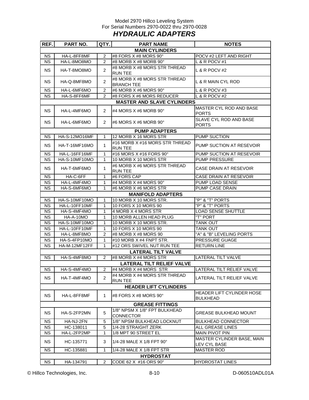#### Model 2970 Hillco Leveling System For Serial Numbers 2970-0022 thru 2970-0028 *HYDRAULIC ADAPTERS*

| REF.      | PART NO.             | QTY.                  | <b>PART NAME</b>                                  | <b>NOTES</b>                                        |
|-----------|----------------------|-----------------------|---------------------------------------------------|-----------------------------------------------------|
|           |                      |                       | <b>MAIN CYLINDERS</b>                             |                                                     |
| <b>NS</b> | HA-L-8FF8MF          | 2                     | #8 FORS X #8 MORS 90°                             | POCV #2 LEFT AND RIGHT                              |
| <b>NS</b> | HA-L-8MO8MO          | 2                     | #8 MORB X #8 MORB 90°                             | L & R POCV #1                                       |
| <b>NS</b> | HA-T-8MO8MO          | 2                     | #8 MORB X #8 MORS STR THREAD<br><b>RUN TEE</b>    | L & R POCV #2                                       |
| <b>NS</b> | HA-Q-8MF8MO          | 2                     | #8 MORB X #8 MORS STR THREAD<br><b>BRANCH TEE</b> | L & R MAIN CYL ROD                                  |
| <b>NS</b> | HA-L-6MF6MO          | 2                     | #6 MORB X #6 MORS 90°                             | L & R POCV #3                                       |
| <b>NS</b> | HA-S-8FF6MF          | $\overline{2}$        | #8 FORS X #6 MORS REDUCER                         | L & R POCV #2                                       |
|           |                      |                       | <b>MASTER AND SLAVE CYLINDERS</b>                 |                                                     |
| <b>NS</b> | HA-L-4MF6MO          | 2                     | #4 MORS $X$ #6 MORB 90 $^{\circ}$                 | MASTER CYL ROD AND BASE<br><b>PORTS</b>             |
| <b>NS</b> | HA-L-6MF6MO          | $\mathbf{2}^{\prime}$ | #6 MORS X #6 MORB 90°                             | SLAVE CYL ROD AND BASE<br><b>PORTS</b>              |
|           |                      |                       | <b>PUMP ADAPTERS</b>                              |                                                     |
| <b>NS</b> | HA-S-12MO16MF        | 1                     | 12 MORB X 16 MORS STR                             | <b>PUMP SUCTION</b>                                 |
| <b>NS</b> | <b>HA-T-16MF16MO</b> | $\mathbf{1}$          | #16 MORB X #16 MORS STR THREAD<br><b>RUN TEE</b>  | PUMP SUCTION AT RESEVOIR                            |
| <b>NS</b> | HA-L-16FF16MF        | 1                     | #16 MORS X #16 FORS 90°                           | PUMP SUCTION AT RESEVOIR                            |
| <b>NS</b> | HA-S-10MF10MO        | 1                     | 10 MORB X 10 MORS STR                             | <b>PUMP PRESSURE</b>                                |
| <b>NS</b> | HA-T-6MF6MO          | 1                     | #6 MORB X #6 MORS STR THREAD<br><b>RUN TEE</b>    | CASE DRAIN AT RESEVOIR                              |
| <b>NS</b> | HA-C-6FF             | 1                     | #6 FORS CAP                                       | <b>CASE DRAIN AT RESEVOIR</b>                       |
| <b>NS</b> | HA-L-4MF4MO          | 1                     | #4 MORB X #4 MORS 90°                             | PUMP LOAD SENSE                                     |
| <b>NS</b> | HA-S-6MF6MO          | 1                     | #6 MORB X #6 MORS STR                             | PUMP CASE DRAIN                                     |
|           |                      |                       | <b>MANIFOLD ADAPTERS</b>                          |                                                     |
| <b>NS</b> | HA-S-10MF10MO        | 1                     | 10 MORB X 10 MORS STR.                            | "P" & "T" PORTS                                     |
| <b>NS</b> | HA-L-10FF10MF        | 1                     | 10 FORS X 10 MORS 90                              | "P" & "T" PORTS                                     |
| <b>NS</b> | HA-S-4MF4MO          | 1                     | 4 MORB X 4 MORS STR                               | <b>LOAD SENSE SHUTTLE</b>                           |
| <b>NS</b> | HA-A-10MO            | 1                     | 10 MORB ALLEN HEAD PLUG                           | "T" PORT                                            |
| <b>NS</b> | HA-S-10MF10MO        | 1                     | 10 MORB X 10 MORS STR.                            | <b>TANK OUT</b>                                     |
| <b>NS</b> | HA-L-10FF10MF        | 1                     | 10 FORS X 10 MORS 90                              | <b>TANK OUT</b>                                     |
| <b>NS</b> | HA-L-8MF8MO          | 2                     | #8 MORB X #8 MORS 90                              | "A" & "B" LEVELING PORTS                            |
| <b>NS</b> | HA-S-4FP10MO         | 1                     | #10 MORB X #4 FNPT STR.                           | PRESSURE GUAGE                                      |
| <b>NS</b> | HA-M-12MF12FF        | 1                     | #12 ORS SWIVEL NUT RUN TEE                        | <b>RETURN LINE</b>                                  |
|           |                      |                       | <b>LATERAL TILT VALVE</b>                         |                                                     |
| <b>NS</b> | HA-S-4MF8MO          | 2                     | #8 MORB X #4 MORS STR                             | LATERAL TILT VALVE                                  |
|           |                      |                       | <b>LATERAL TILT RELIEF VALVE</b>                  |                                                     |
| <b>NS</b> | HA-S-4MF4MO          | 2                     | #4 MORB X #4 MORS STR                             | LATERAL TILT RELIEF VALVE                           |
| <b>NS</b> | HA-T-4MF4MO          | 2                     | #4 MORB X #4 MORS STR THREAD<br><b>RUN TEE</b>    | LATERAL TILT RELIEF VALVE                           |
|           |                      |                       | <b>HEADER LIFT CYLINDERS</b>                      |                                                     |
| <b>NS</b> | HA-L-8FF8MF          | 1                     | #8 FORS $X$ #8 MORS 90 $^{\circ}$                 | <b>HEADER LIFT CYLINDER HOSE</b><br><b>BULKHEAD</b> |
|           |                      |                       | <b>GREASE FITTINGS</b>                            |                                                     |
| <b>NS</b> | HA-S-2FP2MN          | 5                     | 1/8" NPSM X 1/8" FPT BULKHEAD<br><b>CONNECTOR</b> | <b>GREASE BULKHEAD MOUNT</b>                        |
| <b>NS</b> | HA-NJ-2FN            | 5                     | 1/8" NPSM BULKHEAD LOCKNUT                        | <b>BULKHEAD CONNECTOR</b>                           |
| <b>NS</b> | HC-138011            | 5                     | 1/4-28 STRAIGHT ZERK                              | ALL GREASE LINES                                    |
| <b>NS</b> | HA-L-2FP2MP          | 1                     | 1/8 MPT 90 STREET EL                              | <b>MAIN PIVOT PIN</b>                               |
| <b>NS</b> | HC-135771            | 3                     | 1/4-28 MALE X 1/8 FPT 90 $^{\circ}$               | MASTER CYLINDER BASE, MAIN<br>LEV CYL BASE          |
| <b>NS</b> | HC-135881            | 1                     | 1/4-28 MALE X 1/8 FPT STR                         | <b>MASTER ROD</b>                                   |
|           |                      |                       | <b>HYDROSTAT</b>                                  |                                                     |
| <b>NS</b> | HA-134791            | 2                     | CODE 62 X #16 ORS 90°                             | <b>HYDROSTAT LINES</b>                              |

© Hillco Technologies, Inc. 2008 10 Access 8-10 D-060510ADL01A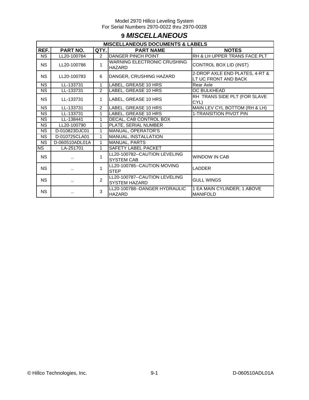# **9** *MISCELLANEOUS*

|                        | <b>MISCELLANEOUS DOCUMENTS &amp; LABELS</b> |                |                                                       |                                                        |  |  |  |
|------------------------|---------------------------------------------|----------------|-------------------------------------------------------|--------------------------------------------------------|--|--|--|
| REF.                   | PART NO.                                    | QTY.           | <b>PART NAME</b>                                      | <b>NOTES</b>                                           |  |  |  |
| <b>NS</b>              | LL20-100784                                 | $\mathcal{P}$  | <b>DANGER PINCH POINT</b>                             | RH & LH UPPER TRANS FACE PLT                           |  |  |  |
| <b>NS</b>              | LL20-100786                                 | 1              | <b>WARNING ELECTRONIC CRUSHING</b><br><b>HAZARD</b>   | <b>CONTROL BOX LID (INST)</b>                          |  |  |  |
| <b>NS</b>              | LL20-100783                                 | 6              | DANGER, CRUSHING HAZARD                               | 2-DROP AXLE END PLATES, 4-RT &<br>LT UC FRONT AND BACK |  |  |  |
| <b>NS</b>              | LL-133731                                   | $\mathbf{1}$   | LABEL, GREASE 10 HRS                                  | Rear Axle                                              |  |  |  |
| $\overline{\text{NS}}$ | LL-133731                                   | $\overline{2}$ | LABEL, GREASE 10 HRS                                  | OC BULKHEAD                                            |  |  |  |
| <b>NS</b>              | LL-133731                                   | 1              | LABEL, GREASE 10 HRS                                  | RH TRANS SIDE PLT (FOR SLAVE<br>CYL)                   |  |  |  |
| $\overline{\text{NS}}$ | LL-133731                                   | 2              | LABEL, GREASE 10 HRS                                  | MAIN LEV CYL BOTTOM (RH & LH)                          |  |  |  |
| <b>NS</b>              | LL-133731                                   | 1              | LABEL, GREASE 10 HRS                                  | 1-TRANSITION PIVOT PIN                                 |  |  |  |
| <b>NS</b>              | LL-138441                                   | 1              | DECAL, CAB CONTROL BOX                                |                                                        |  |  |  |
| <b>NS</b>              | LL20-100790                                 | 1              | PLATE, SERIAL NUMBER                                  |                                                        |  |  |  |
| <b>NS</b>              | D-010823DJC01                               | 1              | <b>MANUAL, OPERATOR'S</b>                             |                                                        |  |  |  |
| <b>NS</b>              | D-010725CLA01                               | 1              | MANUAL, INSTALLATION                                  |                                                        |  |  |  |
| <b>NS</b>              | D-060510ADL01A                              | 1              | <b>MANUAL, PARTS</b>                                  |                                                        |  |  |  |
| NS                     | LA-251701                                   | 1              | <b>SAFETY LABEL PACKET</b>                            |                                                        |  |  |  |
| <b>NS</b>              | ٠.                                          | 1              | LL20-100782--CAUTION LEVELING<br><b>SYSTEM CAB</b>    | <b>WINDOW IN CAB</b>                                   |  |  |  |
| <b>NS</b>              | ٠.                                          | 1              | LL20-100785--CAUTION MOVING<br><b>STEP</b>            | <b>LADDER</b>                                          |  |  |  |
| <b>NS</b>              |                                             | $\mathfrak{p}$ | LL20-100787--CAUTION LEVELING<br><b>SYSTEM HAZARD</b> | <b>GULL WINGS</b>                                      |  |  |  |
| <b>NS</b>              |                                             | 3              | LL20-100788--DANGER HYDRAULIC<br><b>HAZARD</b>        | 1 EA MAIN CYLINDER; 1 ABOVE<br><b>MANIFOLD</b>         |  |  |  |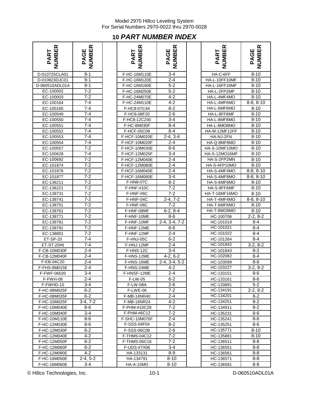# **10** *PART NUMBER INDEX*

| <b>NUMBER</b><br>PART | <b>PAGE<br/>NUMBER</b> | <b>NUMBER</b><br>PART | <b>NUMBER</b><br>PAGE | <b>NUMBER</b><br>PART | PAGE<br>NUMBER |
|-----------------------|------------------------|-----------------------|-----------------------|-----------------------|----------------|
| D-010725CLA01         | $9 - 1$                | F-HC-16M110E          | $3 - 4$               | HA-C-6FF              | $8 - 10$       |
| D-010823DJC01         | $9 - 1$                | F-HC-16M120E          | $2 - 4$               | HA-L-10FF10MF         | $8 - 10$       |
| D-060510ADL01A        | $9 - 1$                | F-HC-16M190E          | $5 - 2$               | HA-L-16FF16MF         | $8 - 10$       |
| EC-100002             | $7 - 2$                | F-HC-16M250E          | $5 - 2$               | HA-L-2FP2MP           | $8 - 10$       |
| EC-100003             | $7 - 2$                | F-HC-24M070E          | $4 - 2$               | HA-L-4MF4MO           | $8 - 10$       |
| EC-100164             | $7 - 4$                | F-HC-24M110E          | $4 - 2$               | HA-L-4MF6MO           | $8-8, 8-$      |
| EC-100165             | $7 - 4$                | F-HC8-07C44           | $8 - 2$               | HA-L-6MF6MO           | $8 - 10$       |
| EC-100549             | $7 - 4$                | F-HC8-08F20           | $2 - 6$               | HA-L-8FF8MF           | $8 - 10$       |
| EC-100550             | $\overline{7}-4$       | F-HC8-12C240          | $3 - 4$               | HA-L-8MF8MO           | $8 - 10$       |
| EC-100551             | $7 - 4$                | F-HC-8M030F           | $8 - 4$               | HA-L-8MO8MO           | $8 - 10$       |
| EC-100552             | $7 - 4$                | F-HCF-05C08           | $8 - 4$               | HA-M-12MF12FF         | $8 - 10$       |
| EC-100553             | $7 - 4$                | F-HCF-10M020E         | $2-4, 3-4$            | HA-NJ-2FN             | $8 - 10$       |
| EC-100554             | $7 - 4$                | F-HCF-10M020F         | $2 - 4$               | HA-Q-8MF8MO           | $8 - 10$       |
| EC-100557             | $7 - 2$                | F-HCF-10M030E         | $8-6$                 | HA-S-10MF10MO         | $8 - 10$       |
| EC-100628             | $7 - 4$                | F-HCF-12M025F         | $3 - 4$               | <b>HA-S-12MO16MF</b>  | $8 - 10$       |
| EC-100692             | $7 - 2$                | F-HCF-12M040E         | $2 - 4$               | HA-S-2FP2MN           | $8 - 10$       |
| EC-101874             | $7 - 2$                | F-HCF-12M080E         | $2 - 4$               | HA-S-4FP10MO          | $8 - 10$       |
| EC-101876             | $7 - 2$                | F-HCF-16M040E         | $2 - 4$               | HA-S-4MF4MO           | $8-8, 8-$      |
| EC-101877             | $7 - 2$                | F-HCF-16M080E         | $3 - 4$               | HA-S-4MF8MO           | $8-8, 8-$      |
| EC-136211             | $7 - 2$                | F-HN8-07C             | $8 - 2$               | HA-S-6MF6MO           | $8 - 10$       |
| EC-136221             | $7 - 2$                | F-HNF-#10C            | $7 - 2$               | HA-S-8FF6MF           | $8 - 10$       |
| EC-138731             | $7 - 2$                | F-HNF-#6C             | $7 - 2$               | HA-T-16MF16MO         | $8 - 10$       |
| EC-138741             | $7 - 2$                | F-HNF-04C             | $2-4, 7-2$            | HA-T-4MF4MO           | $8-8, 8-$      |
| EC-138751             | $7 - 2$                | F-HNF-06C             | $7 - 2$               | HA-T-6MF6MO           | $8 - 10$       |
| EC-138761             | $7 - 2$                | F-HNF-08MF            | $6-2, 8-4$            | HA-T-8MO8MO           | $8 - 10$       |
| EC-138771             | $7 - 2$                | F-HNF-10ME            | $8-6$                 | HC-100706             | $2-2, 8$       |
| EC-138781             | $7 - 2$                | F-HNF-10MF            | $2-4, 3-4, 7-2$       | HC-101019             | $8 - 4$        |
| EC-138791             | $7 - 2$                | F-HNF-12ME            | $8-6$                 | HC-101021             | $8 - 4$        |
| EC-138801             | $7 - 2$                | F-HNF-12MF            | $2 - 4$               | HC-101022             | $8 - 4$        |
| ET-SP-20              | $7 - 4$                | F-HNJ-05C             | $6 - 2$               | HC-101264             | $8 - 4$        |
| ET-ST-20#6            | $7 - 4$                | F-HNJ-12MF            | $2 - 4$               | HC-101842             | $3-2, 8$       |
| F-CB-10M030F          | $2 - 4$                | F-HNS-12C             | $\overline{3}$ -4     | HC-101843             | $8 - 2$        |
| F-CB-12M040F          | $2 - 4$                | F-HNS-12ME            | $4-2, 6-2$            | HC-102082             | $8 - 4$        |
| F-EB-04C20            | $2 - 4$                | F-HNS-16ME            | 2-4, 3-4, 5-2         | HC-103099             | $8-6$          |
| F-FHS-8M015E          | $2 - 4$                | F-HNS-24ME            | $4 - 2$               | HC-103227             | $3-2, 8$       |
| F-FWF-06020           | 3-4                    | F-HNSF-12ME           | $2 - 4$               | HC-133151             | 8-6            |
| F-FWH-08              | $2 - 4$                | F-LW-05               | 6-2                   | HC-133161             | 8-6            |
| F-FWHD-10             | 3-4                    | <b>F-LW-08A</b>       | $2 - 6$               | HC-133891             | $5 - 2$        |
| F-HC-08M025F          | 6-2                    | F-LWE-06              | $7 - 2$               | HC-134191             | $2 - 2, 8$     |
| F-HC-08M035F          | $6 - 2$                | <b>F-MB-14NR40</b>    | $2 - 4$               | HC-134201             | $8 - 2$        |
| F-HC-10M025F          | $3-4, 7-2$             | <b>F-MB-18NR24</b>    | 4-2                   | HC-134251             | $8 - 2$        |
| F-HC-10M040E          | 8-6                    | F-PHM-#10C28          | 7-2                   | HC-134911             | 8-2            |
| F-HC-10M040F          | 3-4                    | F-PHM-#6C12           | $7 - 2$               | HC-135231             | 8-6            |
| F-HC-10M110E          | $8-6$                  | <b>F-SHC-10M070F</b>  | $2 - 4$               | HC-135241             | 8-6            |
| F-HC-12M030E          | 8-6                    | F-SSS-04F04           | $8 - 2$               | HC-135251             | 8-6            |
| F-HC-12M030F          | $6 - 2$                | F-SSS-06C08           | $2 - 6$               | HC-135771             | 8-10           |
| F-HC-12M040E          | 4-2                    | F-THMS-04C12          | 7-2                   | HC-135881             | $8 - 10$       |
| F-HC-12M050F          | 6-2                    | F-THMS-06C16          | 7-2                   | HC-136511             | 8-8            |
| F-HC-12M060F          | $6 - 2$                | F-UDS-#7X06           | $3 - 4$               | HC-136551             | 8-8            |
| F-HC-12M080E          | $4 - 2$                | HA-133131             | 8-9                   | HC-136561             | 8-8            |
| F-HC-16M050E          | 2-4, 5-2               | HA-134791             | 8-10                  | HC-136571             | 8-8            |
| F-HC-16M060F          | $3 - 4$                | $HA - A - 10MO$       | $8 - 10$              | HC-136581             | 8-8            |

| <b>NUMBER</b><br>PART  | <b>PAGE<br/>NUMBER</b> | <b>NUMBER</b><br>PART    | PAGE<br>NUMBER             | <b>NUMBER</b><br>PART  | <b>PAGE<br/>NUMBER</b> |
|------------------------|------------------------|--------------------------|----------------------------|------------------------|------------------------|
| 0-010725CLA01          | $9 - 1$                | F-HC-16M110E             | $3 - 4$                    | HA-C-6FF               | $8 - 10$               |
| 0-010823DJC01          | $9 - 1$                | F-HC-16M120E             | $2 - 4$                    | HA-L-10FF10MF          | $8 - 10$               |
| 060510ADL01A           | $9 - 1$                | F-HC-16M190E             | $5-2$                      | HA-L-16FF16MF          | $8 - 10$               |
| EC-100002              | $7 - 2$                | F-HC-16M250E             | $5 - 2$                    | HA-L-2FP2MP            | $8 - 10$               |
| EC-100003              | $7 - 2$                | F-HC-24M070E             | $4 - 2$                    | HA-L-4MF4MO            | $8 - 10$               |
| EC-100164              | 7-4                    | F-HC-24M110E             | 4-2                        | HA-L-4MF6MO            | $8-8, 8-10$            |
| EC-100165              | $7 - 4$                | F-HC8-07C44              | $8 - 2$                    | HA-L-6MF6MO            | $8 - 10$               |
| EC-100549              | 7-4                    | F-HC8-08F20              | $2 - 6$                    | HA-L-8FF8MF            | $8 - 10$               |
| EC-100550              | $7 - 4$                | F-HC8-12C240             | $3 - 4$                    | HA-L-8MF8MO            | $8 - 10$               |
| EC-100551              | 7-4                    | F-HC-8M030F              | 8-4                        | HA-L-8MO8MO            | 8-10                   |
| EC-100552              | $7 - 4$                | F-HCF-05C08              | $8 - 4$                    | HA-M-12MF12FF          | $8 - 10$               |
| EC-100553              | $7 - 4$                | F-HCF-10M020E            | $2-4, 3-4$                 | HA-NJ-2FN              | $8 - 10$               |
| EC-100554              | $7 - 4$                | F-HCF-10M020F            | $2 - 4$                    | HA-Q-8MF8MO            | $8 - 10$               |
| EC-100557              | $7 - 2$                | F-HCF-10M030E            | 8-6                        | HA-S-10MF10MO          | 8-10                   |
| EC-100628              | $7 - 4$                | F-HCF-12M025F            | $3 - 4$                    | <b>HA-S-12MO16MF</b>   | $8 - 10$               |
| EC-100692              | $7 - 2$                | F-HCF-12M040E            | $2 - 4$                    | HA-S-2FP2MN            | $8 - 10$               |
| EC-101874              | $7 - 2$                | F-HCF-12M080E            | $2 - 4$                    | HA-S-4FP10MO           | $8 - 10$               |
| EC-101876              | $7 - 2$                | F-HCF-16M040E            | $2 - 4$                    | HA-S-4MF4MO            | $8-8, 8-10$            |
| EC-101877              | $7 - 2$                | F-HCF-16M080E            | $3 - 4$                    | HA-S-4MF8MO            | $8-8, 8-10$            |
| EC-136211              | $7 - 2$                | F-HN8-07C                | $8 - 2$                    | HA-S-6MF6MO            | $8 - 10$               |
| EC-136221              | $7 - 2$                | F-HNF-#10C               | $7 - 2$                    | HA-S-8FF6MF            | $8 - 10$               |
| EC-138731              | $7 - 2$                | F-HNF-#6C                | $7 - 2$                    | HA-T-16MF16MO          | 8-10                   |
| EC-138741              | $7 - 2$                | F-HNF-04C                | $2-4, 7-2$                 | HA-T-4MF4MO            | $8-8, 8-10$            |
| EC-138751              | $7 - 2$<br>$7 - 2$     | F-HNF-06C                | $7 - 2$                    | HA-T-6MF6MO            | $8 - 10$               |
| EC-138761              | $7 - 2$                | F-HNF-08MF               | $6-2, 8-4$                 | HA-T-8MO8MO            | $8 - 10$<br>$2-2, 8-2$ |
| EC-138771<br>EC-138781 | $7 - 2$                | F-HNF-10ME<br>F-HNF-10MF | $8 - 6$<br>$2-4, 3-4, 7-2$ | HC-100706              | $8 - 4$                |
| EC-138791              | $7 - 2$                | F-HNF-12ME               | $8-6$                      | HC-101019<br>HC-101021 | $8 - 4$                |
| EC-138801              | $7 - 2$                | F-HNF-12MF               | $2 - 4$                    | HC-101022              | $8 - 4$                |
| <b>ET-SP-20</b>        | $7 - 4$                | F-HNJ-05C                | $6-2$                      | HC-101264              | $8 - 4$                |
| ET-ST-20#6             | $7 - 4$                | F-HNJ-12MF               | $2 - 4$                    | HC-101842              | $3-2, 8-2$             |
| F-CB-10M030F           | $2 - 4$                | F-HNS-12C                | $3 - 4$                    | HC-101843              | $8 - 2$                |
| F-CB-12M040F           | $2 - 4$                | F-HNS-12ME               | $4-2, 6-2$                 | HC-102082              | $8 - 4$                |
| F-EB-04C20             | $2 - 4$                | F-HNS-16ME               | $2-4, 3-4, 5-2$            | HC-103099              | $8-6$                  |
| F-FHS-8M015E           | $2 - 4$                | F-HNS-24ME               | $4 - 2$                    | HC-103227              | $3-2, 8-2$             |
| F-FWF-06020            | 3-4                    | F-HNSF-12ME              | 2-4                        | HC-133151              | 8-6                    |
| F-FWH-08               | 2-4                    | F-LW-05                  | 6-2                        | HC-133161              | 8-6                    |
| F-FWHD-10              | 3-4                    | <b>F-LW-08A</b>          | 2-6                        | HC-133891              | $5 - 2$                |
| F-HC-08M025F           | 6-2                    | F-LWE-06                 | 7-2                        | HC-134191              | $2 - 2, 8 - 2$         |
| F-HC-08M035F           | $6 - 2$                | F-MB-14NR40              | $2 - 4$                    | HC-134201              | $8 - 2$                |
| F-HC-10M025F           | $3-4, 7-2$             | F-MB-18NR24              | $4 - 2$                    | HC-134251              | 8-2                    |
| F-HC-10M040E           | 8-6                    | F-PHM-#10C28             | 7-2                        | HC-134911              | 8-2                    |
| F-HC-10M040F           | 3-4                    | F-PHM-#6C12              | 7-2                        | HC-135231              | 8-6                    |
| F-HC-10M110E           | 8-6                    | F-SHC-10M070F            | $2 - 4$                    | HC-135241              | $8-6$                  |
| F-HC-12M030E           | 8-6                    | F-SSS-04F04              | 8-2                        | HC-135251              | 8-6                    |
| F-HC-12M030F           | 6-2                    | F-SSS-06C08              | 2-6                        | HC-135771              | 8-10                   |
| F-HC-12M040E           | 4-2                    | F-THMS-04C12             | 7-2                        | HC-135881              | 8-10                   |
| F-HC-12M050F           | $6 - 2$                | <b>F-THMS-06C16</b>      | $7-2$                      | HC-136511              | 8-8                    |
| F-HC-12M060F           | $6 - 2$                | F-UDS-#7X06              | 3-4                        | HC-136551              | 8-8                    |
| F-HC-12M080E           | $4 - 2$                | HA-133131                | 8-9                        | HC-136561              | 8-8                    |
| F-HC-16M050E           | $2-4, 5-2$             | HA-134791                | $8 - 10$                   | HC-136571              | 8-8                    |
| F-HC-16M060E           | $3 - 4$                | HA-A-10MO                | $8 - 10$                   | HC-136581              | $8 - 8$                |

| ≃<br>ш                 | ≃<br>ш      |
|------------------------|-------------|
| <b>JRINI</b> .         | уB          |
| <b>PAR<sup>-</sup></b> | PAGE        |
|                        |             |
| HA-C-6FF               | $8 - 10$    |
| HA-L-10FF10MF          | $8 - 10$    |
| HA-L-16FF16MF          | $8 - 10$    |
| HA-L-2FP2MP            | $8 - 10$    |
| HA-L-4MF4MO            | $8 - 10$    |
| HA-L-4MF6MO            | $8-8, 8-10$ |
| HA-L-6MF6MO            | $8 - 10$    |
| HA-L-8FF8MF            | $8 - 10$    |
| HA-L-8MF8MO            | $8 - 10$    |
| HA-L-8MO8MO            | $8 - 10$    |
| HA-M-12MF12FF          | 8-10        |
| HA-NJ-2FN              | $8 - 10$    |
| HA-Q-8MF8MO            | $8 - 10$    |
| HA-S-10MF10MO          | $8 - 10$    |
| <b>HA-S-12MO16MF</b>   | $8 - 10$    |
| HA-S-2FP2MN            | $8 - 10$    |
| HA-S-4FP10MO           | $8 - 10$    |
| HA-S-4MF4MO            | $8-8, 8-10$ |
| HA-S-4MF8MO            | $8-8, 8-10$ |
| HA-S-6MF6MO            | 8-10        |
| HA-S-8FF6MF            | 8-10        |
| HA-T-16MF16MO          | $8 - 10$    |
| HA-T-4MF4MO            | $8-8, 8-10$ |
| HA-T-6MF6MO            | $8 - 10$    |
| HA-T-8MO8MO            | $8 - 10$    |
| HC-100706              | $2-2, 8-2$  |
| HC-101019              | 8-4         |
| HC-101021              | $8 - 4$     |
| HC-101022              | $8 - 4$     |
| HC-101264              | 8-4         |
| HC-101842              | $3-2, 8-2$  |
| HC-101843              | $8 - 2$     |
| HC-102082              | $8 - 4$     |
| HC-103099              | $8 - 6$     |
| HC-103227              | $3-2, 8-2$  |
| HC-133151              | 8-6         |
| HC-133161              | 8-6         |
| HC-133891              | $5 - 2$     |
| HC-134191<br>HC-134201 | $2-2, 8-2$  |
| HC-134251              | $8-2$       |
|                        | $8 - 2$     |
| HC-134911              | 8-2         |
| HC-135231              | 8-6         |
| HC-135241              | 8-6         |
| HC-135251              | $8 - 6$     |
| HC-135771              | 8-10        |
| HC-135881              | $8 - 10$    |
| HC-136511              | $8 - 8$     |
| HC-136551              | 8-8         |
| HC-136561              | $8 - 8$     |
| HC-136571              | 8-8         |
| HC-136581              | 8-8         |

© Hillco Technologies, Inc. 2008 10-1 10-1 10-1 D-060510ADL01A